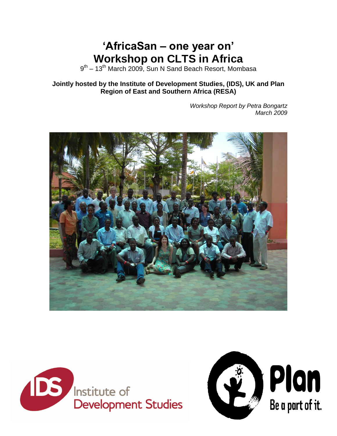# **"AfricaSan – one year on" Workshop on CLTS in Africa**

9<sup>th</sup> – 13<sup>th</sup> March 2009, Sun N Sand Beach Resort, Mombasa

**Jointly hosted by the Institute of Development Studies, (IDS), UK and Plan Region of East and Southern Africa (RESA)**

> *Workshop Report by Petra Bongartz March 2009*





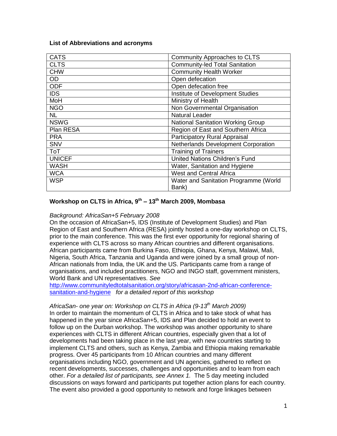#### **List of Abbreviations and acronyms**

| <b>CATS</b>   | <b>Community Approaches to CLTS</b>      |  |
|---------------|------------------------------------------|--|
| <b>CLTS</b>   | <b>Community-led Total Sanitation</b>    |  |
| <b>CHW</b>    | <b>Community Health Worker</b>           |  |
| <b>OD</b>     | Open defecation                          |  |
| <b>ODF</b>    | Open defecation free                     |  |
| <b>IDS</b>    | Institute of Development Studies         |  |
| MoH           | Ministry of Health                       |  |
| <b>NGO</b>    | Non Governmental Organisation            |  |
| <b>NL</b>     | <b>Natural Leader</b>                    |  |
| <b>NSWG</b>   | <b>National Sanitation Working Group</b> |  |
| Plan RESA     | Region of East and Southern Africa       |  |
| <b>PRA</b>    | <b>Participatory Rural Appraisal</b>     |  |
| <b>SNV</b>    | Netherlands Development Corporation      |  |
| <b>ToT</b>    | <b>Training of Trainers</b>              |  |
| <b>UNICEF</b> | United Nations Children's Fund           |  |
| <b>WASH</b>   | Water, Sanitation and Hygiene            |  |
| <b>WCA</b>    | <b>West and Central Africa</b>           |  |
| <b>WSP</b>    | Water and Sanitation Programme (World    |  |
|               | Bank)                                    |  |

## **Workshop on CLTS in Africa, 9th – 13th March 2009, Mombasa**

## *Background: AfricaSan+5 February 2008*

On the occasion of AfricaSan+5, IDS (Institute of Development Studies) and Plan Region of East and Southern Africa (RESA) jointly hosted a one-day workshop on CLTS, prior to the main conference. This was the first ever opportunity for regional sharing of experience with CLTS across so many African countries and different organisations. African participants came from Burkina Faso, Ethiopia, Ghana, Kenya, Malawi, Mali, Nigeria, South Africa, Tanzania and Uganda and were joined by a small group of non-African nationals from India, the UK and the US. Participants came from a range of organisations, and included practitioners, NGO and INGO staff, government ministers, World Bank and UN representatives. *See* 

[http://www.communityledtotalsanitation.org/story/africasan-2nd-african-conference](http://www.communityledtotalsanitation.org/story/africasan-2nd-african-conference-sanitation-and-hygiene)[sanitation-and-hygiene](http://www.communityledtotalsanitation.org/story/africasan-2nd-african-conference-sanitation-and-hygiene) *for a detailed report of this workshop*

## *AfricaSan- one year on: Workshop on CLTS in Africa (9-13th March 2009)*

In order to maintain the momentum of CLTS in Africa and to take stock of what has happened in the year since AfricaSan+5, IDS and Plan decided to hold an event to follow up on the Durban workshop. The workshop was another opportunity to share experiences with CLTS in different African countries, especially given that a lot of developments had been taking place in the last year, with new countries starting to implement CLTS and others, such as Kenya, Zambia and Ethiopia making remarkable progress. Over 45 participants from 10 African countries and many different organisations including NGO, government and UN agencies, gathered to reflect on recent developments, successes, challenges and opportunities and to learn from each other. *For a detailed list of participants, see Annex 1.* The 5 day meeting included discussions on ways forward and participants put together action plans for each country. The event also provided a good opportunity to network and forge linkages between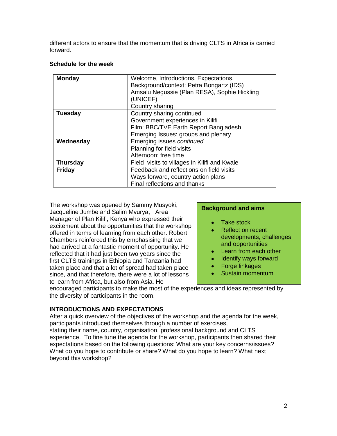different actors to ensure that the momentum that is driving CLTS in Africa is carried forward.

## **Schedule for the week**

| <b>Monday</b>   | Welcome, Introductions, Expectations,<br>Background/context: Petra Bongartz (IDS)<br>Amsalu Negussie (Plan RESA), Sophie Hickling<br>(UNICEF) |  |
|-----------------|-----------------------------------------------------------------------------------------------------------------------------------------------|--|
|                 | Country sharing                                                                                                                               |  |
| <b>Tuesday</b>  | Country sharing continued                                                                                                                     |  |
|                 | Government experiences in Kilifi                                                                                                              |  |
|                 | Film: BBC/TVE Earth Report Bangladesh                                                                                                         |  |
|                 | Emerging Issues: groups and plenary                                                                                                           |  |
| Wednesday       | Emerging issues continued                                                                                                                     |  |
|                 | Planning for field visits                                                                                                                     |  |
|                 | Afternoon: free time                                                                                                                          |  |
| <b>Thursday</b> | Field visits to villages in Kilifi and Kwale                                                                                                  |  |
| <b>Friday</b>   | Feedback and reflections on field visits                                                                                                      |  |
|                 | Ways forward, country action plans                                                                                                            |  |
|                 | Final reflections and thanks                                                                                                                  |  |

The workshop was opened by Sammy Musyoki, Jacqueline Jumbe and Salim Mvurya, Area Manager of Plan Kilifi, Kenya who expressed their excitement about the opportunities that the workshop offered in terms of learning from each other. Robert Chambers reinforced this by emphasising that we had arrived at a fantastic moment of opportunity. He reflected that it had just been two years since the first CLTS trainings in Ethiopia and Tanzania had taken place and that a lot of spread had taken place since, and that therefore, there were a lot of lessons to learn from Africa, but also from Asia. He

## **Background and aims**

- Take stock
- Reflect on recent developments, challenges and opportunities
- Learn from each other
- Identify ways forward
- Forge linkages  $\bullet$
- Sustain momentum  $\bullet$

encouraged participants to make the most of the experiences and ideas represented by the diversity of participants in the room.

# **INTRODUCTIONS AND EXPECTATIONS**

After a quick overview of the objectives of the workshop and the agenda for the week, participants introduced themselves through a number of exercises, stating their name, country, organisation, professional background and CLTS experience. To fine tune the agenda for the workshop, participants then shared their expectations based on the following questions: What are your key concerns/issues? What do you hope to contribute or share? What do you hope to learn? What next beyond this workshop?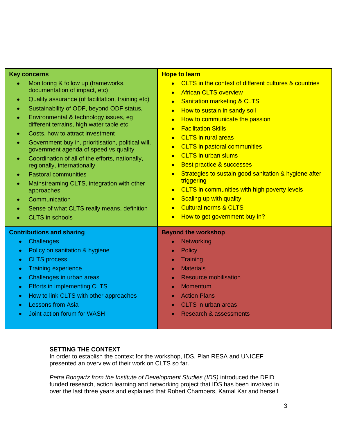| <b>Key concerns</b><br>Monitoring & follow up (frameworks,<br>$\bullet$<br>documentation of impact, etc)<br>Quality assurance (of facilitation, training etc)<br>$\bullet$<br>Sustainability of ODF, beyond ODF status,<br>$\bullet$<br>Environmental & technology issues, eg<br>$\bullet$<br>different terrains, high water table etc<br>Costs, how to attract investment<br>۰<br>Government buy in, prioritisation, political will,<br>۰<br>government agenda of speed vs quality<br>Coordination of all of the efforts, nationally,<br>$\bullet$<br>regionally, internationally<br><b>Pastoral communities</b><br>$\bullet$<br>Mainstreaming CLTS, integration with other<br>$\bullet$<br>approaches | <b>Hope to learn</b><br>CLTS in the context of different cultures & countries<br><b>African CLTS overview</b><br>$\bullet$<br><b>Sanitation marketing &amp; CLTS</b><br>$\bullet$<br>How to sustain in sandy soil<br>$\bullet$<br>How to communicate the passion<br>$\bullet$<br><b>Facilitation Skills</b><br>$\bullet$<br><b>CLTS</b> in rural areas<br>$\bullet$<br><b>CLTS</b> in pastoral communities<br>$\bullet$<br><b>CLTS</b> in urban slums<br>$\bullet$<br><b>Best practice &amp; successes</b><br>$\bullet$<br>Strategies to sustain good sanitation & hygiene after<br>$\bullet$<br>triggering<br>CLTS in communities with high poverty levels<br>$\bullet$ |
|---------------------------------------------------------------------------------------------------------------------------------------------------------------------------------------------------------------------------------------------------------------------------------------------------------------------------------------------------------------------------------------------------------------------------------------------------------------------------------------------------------------------------------------------------------------------------------------------------------------------------------------------------------------------------------------------------------|--------------------------------------------------------------------------------------------------------------------------------------------------------------------------------------------------------------------------------------------------------------------------------------------------------------------------------------------------------------------------------------------------------------------------------------------------------------------------------------------------------------------------------------------------------------------------------------------------------------------------------------------------------------------------|
| Communication<br>Sense of what CLTS really means, definition<br>۰<br><b>CLTS</b> in schools<br>$\bullet$                                                                                                                                                                                                                                                                                                                                                                                                                                                                                                                                                                                                | <b>Scaling up with quality</b><br>$\bullet$<br><b>Cultural norms &amp; CLTS</b><br>$\bullet$<br>How to get government buy in?<br>$\bullet$                                                                                                                                                                                                                                                                                                                                                                                                                                                                                                                               |
| <b>Contributions and sharing</b><br>Challenges<br>$\bullet$<br>Policy on sanitation & hygiene<br>۰<br><b>CLTS</b> process<br>۰<br><b>Training experience</b><br>$\bullet$<br>Challenges in urban areas<br>$\bullet$<br><b>Efforts in implementing CLTS</b><br>$\bullet$<br>How to link CLTS with other approaches<br>$\bullet$<br><b>Lessons from Asia</b><br>$\bullet$<br>Joint action forum for WASH<br>$\bullet$                                                                                                                                                                                                                                                                                     | <b>Beyond the workshop</b><br>Networking<br>$\bullet$<br>Policy<br>۰<br>Training<br>۰<br><b>Materials</b><br>۰<br><b>Resource mobilisation</b><br>۰<br>Momentum<br>$\bullet$<br><b>Action Plans</b><br>$\bullet$<br>CLTS in urban areas<br>٠<br><b>Research &amp; assessments</b><br>۰                                                                                                                                                                                                                                                                                                                                                                                   |
|                                                                                                                                                                                                                                                                                                                                                                                                                                                                                                                                                                                                                                                                                                         |                                                                                                                                                                                                                                                                                                                                                                                                                                                                                                                                                                                                                                                                          |

# **SETTING THE CONTEXT**

In order to establish the context for the workshop, IDS, Plan RESA and UNICEF presented an overview of their work on CLTS so far.

*Petra Bongartz from the Institute of Development Studies (IDS)* introduced the DFID funded research, action learning and networking project that IDS has been involved in over the last three years and explained that Robert Chambers, Kamal Kar and herself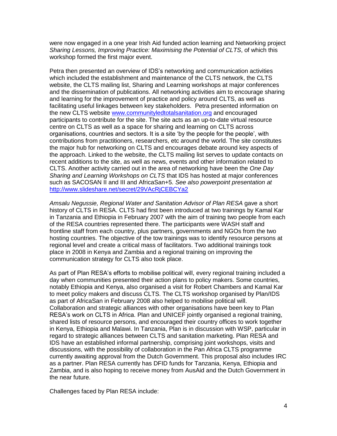were now engaged in a one year Irish Aid funded action learning and Networking project *Sharing Lessons, Improving Practice: Maximising the Potential of CLTS*, of which this workshop formed the first major event.

Petra then presented an overview of IDS"s networking and communication activities which included the establishment and maintenance of the CLTS network, the CLTS website, the CLTS mailing list, Sharing and Learning workshops at major conferences and the dissemination of publications. All networking activities aim to encourage sharing and learning for the improvement of practice and policy around CLTS, as well as facilitating useful linkages between key stakeholders. Petra presented information on the new CLTS website [www.communityledtotalsanitation.org](http://www.communityledtotalsanitation.org/) and encouraged participants to contribute for the site. The site acts as an up-to-date virtual resource centre on CLTS as well as a space for sharing and learning on CLTS across organisations, countries and sectors. It is a site "by the people for the people", with contributions from practitioners, researchers, etc around the world. The site constitutes the major hub for networking on CLTS and encourages debate around key aspects of the approach. Linked to the website, the CLTS mailing list serves to update contacts on recent additions to the site, as well as news, events and other information related to CLTS. Another activity carried out in the area of networking have been the *One Day Sharing and Learning Workshops on CLTS* that IDS has hosted at major conferences such as SACOSAN II and III and AfricaSan+5. *See also powerpoint presentation at*  <http://www.slideshare.net/secret/29VAcRjCEBCYa2>

*Amsalu Negussie, Regional Water and Sanitation Advisor of Plan RESA* gave a short history of CLTS in RESA. CLTS had first been introduced at two trainings by Kamal Kar in Tanzania and Ethiopia in February 2007 with the aim of training two people from each of the RESA countries represented there. The participants were WASH staff and frontline staff from each country, plus partners, governments and NGOs from the two hosting countries. The objective of the tow trainings was to identify resource persons at regional level and create a critical mass of facilitators. Two additional trainings took place in 2008 in Kenya and Zambia and a regional training on improving the communication strategy for CLTS also took place.

As part of Plan RESA"s efforts to mobilise political will, every regional training included a day when communities presented their action plans to policy makers. Some countries, notably Ethiopia and Kenya, also organised a visit for Robert Chambers and Kamal Kar to meet policy makers and discuss CLTS. The CLTS workshop organised by Plan/IDS as part of AfricaSan in February 2008 also helped to mobilise political will. Collaboration and strategic alliances with other organisations have been key to Plan RESA"s work on CLTS in Africa. Plan and UNICEF jointly organised a regional training, shared lists of resource persons, and encouraged their country offices to work together in Kenya, Ethiopia and Malawi. In Tanzania, Plan is in discussion with WSP, particular in regard to strategic alliances between CLTS and sanitation marketing. Plan RESA and IDS have an established informal partnership, comprising joint workshops, visits and discussions, with the possibility of collaboration in the Pan Africa CLTS programme currently awaiting approval from the Dutch Government. This proposal also includes IRC as a partner. Plan RESA currently has DFID funds for Tanzania, Kenya, Ethiopia and Zambia, and is also hoping to receive money from AusAid and the Dutch Government in the near future.

Challenges faced by Plan RESA include: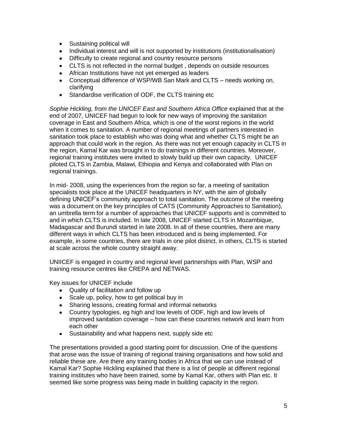- Sustaining political will
- Individual interest and will is not supported by institutions (institutionalisation)
- Difficulty to create regional and country resource persons
- CLTS is not reflected in the normal budget , depends on outside resources
- African Institutions have not yet emerged as leaders
- Conceptual difference of WSP/WB San Mark and CLTS needs working on, clarifying
- Standardise verification of ODF, the CLTS training etc  $\bullet$

*Sophie Hickling, from the UNICEF East and Southern Africa Office* explained that at the end of 2007, UNICEF had begun to look for new ways of improving the sanitation coverage in East and Southern Africa, which is one of the worst regions in the world when it comes to sanitation. A number of regional meetings of partners interested in sanitation took place to establish who was doing what and whether CLTS might be an approach that could work in the region. As there was not yet enough capacity in CLTS in the region, Kamal Kar was brought in to do trainings in different countries. Moreover, regional training institutes were invited to slowly build up their own capacity. UNICEF piloted CLTS in Zambia, Malawi, Ethiopia and Kenya and collaborated with Plan on regional trainings.

In mid- 2008, using the experiences from the region so far, a meeting of sanitation specialists took place at the UNICEF headquarters in NY, with the aim of globally defining UNICEF"s community approach to total sanitation. The outcome of the meeting was a document on the key principles of CATS (Community Approaches to Sanitation), an umbrella term for a number of approaches that UNICEF supports and is committed to and in which CLTS is included. In late 2008, UNICEF started CLTS in Mozambique, Madagascar and Burundi started in late 2008. In all of these countries, there are many different ways in which CLTS has been introduced and is being implemented. For example, in some countries, there are trials in one pilot district, in others, CLTS is started at scale across the whole country straight away.

UNIICEF is engaged in country and regional level partnerships with Plan, WSP and training resource centres like CREPA and NETWAS.

Key issues for UNICEF include

- Quality of facilitation and follow up
- Scale up, policy, how to get political buy in
- Sharing lessons, creating formal and informal networks
- Country typologies, eg high and low levels of ODF, high and low levels of improved sanitation coverage – how can these countries network and learn from each other
- Sustainability and what happens next, supply side etc

The presentations provided a good starting point for discussion. One of the questions that arose was the issue of training of regional training organisations and how solid and reliable these are. Are there any training bodies in Africa that we can use instead of Kamal Kar? Sophie Hickling explained that there is a list of people at different regional training institutes who have been trained, some by Kamal Kar, others with Plan etc. It seemed like some progress was being made in building capacity in the region.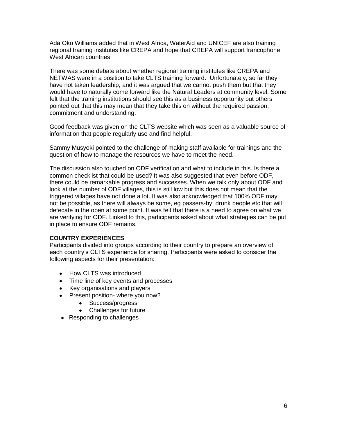Ada Oko Williams added that in West Africa, WaterAid and UNICEF are also training regional training institutes like CREPA and hope that CREPA will support francophone West African countries.

There was some debate about whether regional training institutes like CREPA and NETWAS were in a position to take CLTS training forward. Unfortunately, so far they have not taken leadership, and it was argued that we cannot push them but that they would have to naturally come forward like the Natural Leaders at community level. Some felt that the training institutions should see this as a business opportunity but others pointed out that this may mean that they take this on without the required passion, commitment and understanding.

Good feedback was given on the CLTS website which was seen as a valuable source of information that people regularly use and find helpful.

Sammy Musyoki pointed to the challenge of making staff available for trainings and the question of how to manage the resources we have to meet the need.

The discussion also touched on ODF verification and what to include in this. Is there a common checklist that could be used? It was also suggested that even before ODF, there could be remarkable progress and successes. When we talk only about ODF and look at the number of ODF villages, this is still low but this does not mean that the triggered villages have not done a lot. It was also acknowledged that 100% ODF may not be possible, as there will always be some, eg passers-by, drunk people etc that will defecate in the open at some point. It was felt that there is a need to agree on what we are verifying for ODF. Linked to this, participants asked about what strategies can be put in place to ensure ODF remains.

## **COUNTRY EXPERIENCES**

Participants divided into groups according to their country to prepare an overview of each country"s CLTS experience for sharing. Participants were asked to consider the following aspects for their presentation:

- How CLTS was introduced
- Time line of key events and processes
- Key organisations and players
- Present position- where you now?
	- Success/progress
	- Challenges for future
- Responding to challenges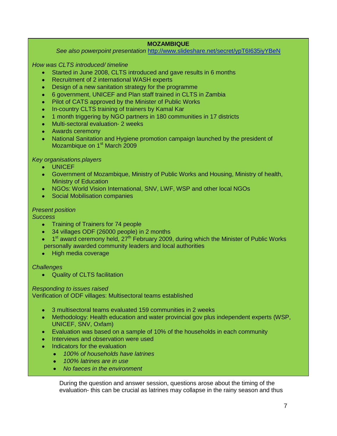## **MOZAMBIQUE**

*See also powerpoint presentation* <http://www.slideshare.net/secret/ypT6I635iyYBeN>

*How was CLTS introduced/ timeline*

- Started in June 2008, CLTS introduced and gave results in 6 months
- Recruitment of 2 international WASH experts
- Design of a new sanitation strategy for the programme
- 6 government, UNICEF and Plan staff trained in CLTS in Zambia
- Pilot of CATS approved by the Minister of Public Works  $\bullet$
- In-country CLTS training of trainers by Kamal Kar
- 1 month triggering by NGO partners in 180 communities in 17 districts  $\bullet$  .
- Multi-sectoral evaluation- 2 weeks
- Awards ceremony
- National Sanitation and Hygiene promotion campaign launched by the president of Mozambique on 1<sup>st</sup> March 2009

## *Key organisations.players*

- UNICEF
- Government of Mozambique, Ministry of Public Works and Housing, Ministry of health, Ministry of Education
- NGOs: World Vision International, SNV, LWF, WSP and other local NGOs
- Social Mobilisation companies

## *Present position*

*Success*

- Training of Trainers for 74 people
- 34 villages ODF (26000 people) in 2 months
- 1<sup>st</sup> award ceremony held, 27<sup>th</sup> February 2009, during which the Minister of Public Works personally awarded community leaders and local authorities
- High media coverage

## *Challenges*

Quality of CLTS facilitation

## *Responding to issues raised*

Verification of ODF villages: Multisectoral teams established

- 3 multisectoral teams evaluated 159 communities in 2 weeks
- $\bullet$  . Methodology: Health education and water provincial gov plus independent experts (WSP, UNICEF, SNV, Oxfam)
- Evaluation was based on a sample of 10% of the households in each community  $\bullet$
- Interviews and observation were used
- Indicators for the evaluation  $\bullet$ 
	- *100% of households have latrines*
	- *100% latrines are in use*
	- *No faeces in the environment*

During the question and answer session, questions arose about the timing of the evaluation- this can be crucial as latrines may collapse in the rainy season and thus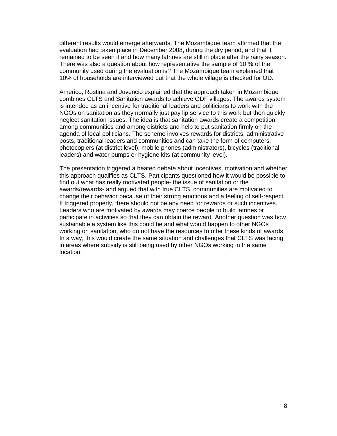different results would emerge afterwards. The Mozambique team affirmed that the evaluation had taken place in December 2008, during the dry period, and that it remained to be seen if and how many latrines are still in place after the rainy season. There was also a question about how representative the sample of 10 % of the community used during the evaluation is? The Mozambique team explained that 10% of households are interviewed but that the whole village is checked for OD.

Americo, Rostina and Juvencio explained that the approach taken in Mozambique combines CLTS and Sanitation awards to achieve ODF villages. The awards system is intended as an incentive for traditional leaders and politicians to work with the NGOs on sanitation as they normally just pay lip service to this work but then quickly neglect sanitation issues. The idea is that sanitation awards create a competition among communities and among districts and help to put sanitation firmly on the agenda of local politicians. The scheme involves rewards for districts, administrative posts, traditional leaders and communities and can take the form of computers, photocopiers (at district level), mobile phones (administrators), bicycles (traditional leaders) and water pumps or hygiene kits (at community level).

The presentation triggered a heated debate about incentives, motivation and whether this approach qualifies as CLTS. Participants questioned how it would be possible to find out what has really motivated people- the issue of sanitation or the awards/rewards- and argued that with true CLTS, communities are motivated to change their behavior because of their strong emotions and a feeling of self-respect. If triggered properly, there should not be any need for rewards or such incentives. Leaders who are motivated by awards may coerce people to build latrines or participate in activities so that they can obtain the reward. Another question was how sustainable a system like this could be and what would happen to other NGOs working on sanitation, who do not have the resources to offer these kinds of awards. In a way, this would create the same situation and challenges that CLTS was facing in areas where subsidy is still being used by other NGOs working in the same location.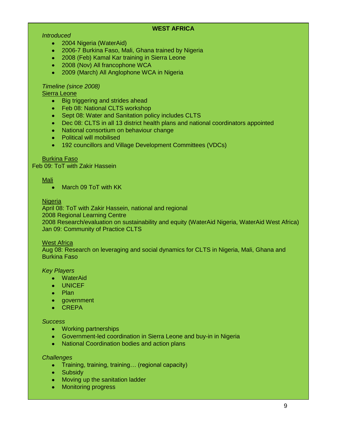## **WEST AFRICA**

## *Introduced*

- 2004 Nigeria (WaterAid)
- 2006-7 Burkina Faso, Mali, Ghana trained by Nigeria
- 2008 (Feb) Kamal Kar training in Sierra Leone
- 2008 (Nov) All francophone WCA
- 2009 (March) All Anglophone WCA in Nigeria  $\bullet$

## *Timeline (since 2008)*

Sierra Leone

- Big triggering and strides ahead  $\bullet$
- Feb 08: National CLTS workshop
- Sept 08: Water and Sanitation policy includes CLTS
- Dec 08: CLTS in all 13 district health plans and national coordinators appointed  $\bullet$
- National consortium on behaviour change
- Political will mobilised
- 192 councillors and Village Development Committees (VDCs)  $\bullet$  .

#### Burkina Faso

Feb 09: ToT with Zakir Hassein

#### Mali

March 09 ToT with KK

#### **Nigeria**

April 08: ToT with Zakir Hassein, national and regional

2008 Regional Learning Centre

2008 Research/evaluation on sustainability and equity (WaterAid Nigeria, WaterAid West Africa) Jan 09: Community of Practice CLTS

#### West Africa

Aug 08: Research on leveraging and social dynamics for CLTS in Nigeria, Mali, Ghana and Burkina Faso

#### *Key Players*

- WaterAid
- UNICEF
- Plan
- government
- CREPA

#### *Success*

- Working partnerships
- Government-led coordination in Sierra Leone and buy-in in Nigeria
- National Coordination bodies and action plans

#### *Challenges*

- Training, training, training... (regional capacity)
- Subsidy
- Moving up the sanitation ladder
- Monitoring progress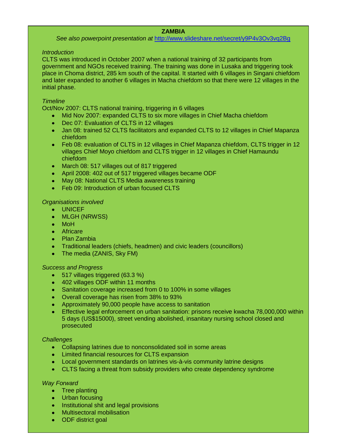## **ZAMBIA**

*See also powerpoint presentation at* <http://www.slideshare.net/secret/y9P4v3Ov3vq2Bg>

#### *Introduction*

CLTS was introduced in October 2007 when a national training of 32 participants from government and NGOs received training. The training was done in Lusaka and triggering took place in Choma district, 285 km south of the capital. It started with 6 villages in Singani chiefdom and later expanded to another 6 villages in Macha chiefdom so that there were 12 villages in the initial phase.

## *Timeline*

Oct/Nov 2007: CLTS national training, triggering in 6 villages

- Mid Nov 2007: expanded CLTS to six more villages in Chief Macha chiefdom
- Dec 07: Evaluation of CLTS in 12 villages  $\bullet$
- Jan 08: trained 52 CLTS facilitators and expanded CLTS to 12 villages in Chief Mapanza  $\bullet$  . chiefdom
- Feb 08: evaluation of CLTS in 12 villages in Chief Mapanza chiefdom, CLTS trigger in 12  $\bullet$ villages Chief Moyo chiefdom and CLTS trigger in 12 villages in Chief Hamaundu chiefdom
- March 08: 517 villages out of 817 triggered
- April 2008: 402 out of 517 triggered villages became ODF
- May 08: National CLTS Media awareness training
- Feb 09: Introduction of urban focused CLTS

## *Organisations involved*

- UNICEF
- MLGH (NRWSS)
- MoH
- Africare
- Plan Zambia
- Traditional leaders (chiefs, headmen) and civic leaders (councillors)  $\bullet$
- The media (ZANIS, Sky FM)

## *Success and Progress*

- 517 villages triggered (63.3 %)
- 402 villages ODF within 11 months
- Sanitation coverage increased from 0 to 100% in some villages
- Overall coverage has risen from 38% to 93%
- Approximately 90,000 people have access to sanitation
- Effective legal enforcement on urban sanitation: prisons receive kwacha 78,000,000 within 5 days (US\$15000), street vending abolished, insanitary nursing school closed and prosecuted

## *Challenges*

- Collapsing latrines due to nonconsolidated soil in some areas
- Limited financial resources for CLTS expansion
- Local government standards on latrines vis-à-vis community latrine designs
- CLTS facing a threat from subsidy providers who create dependency syndrome

## *Way Forward*

- Tree planting
- Urban focusing
- Institutional shit and legal provisions
- Multisectoral mobilisation
- ODF district goal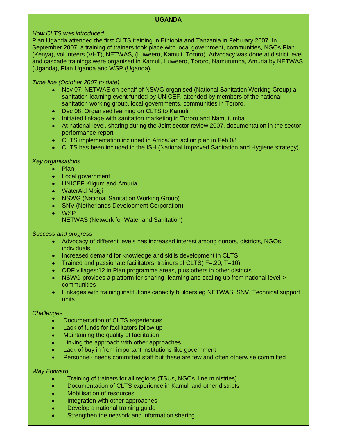## **UGANDA**

## *How CLTS was introduced*

Plan Uganda attended the first CLTS training in Ethiopia and Tanzania in February 2007. In September 2007, a training of trainers took place with local government, communities, NGOs Plan (Kenya), volunteers (VHT), NETWAS, (Luweero, Kamuli, Tororo). Advocacy was done at district level and cascade trainings were organised in Kamuli, Luweero, Tororo, Namutumba, Amuria by NETWAS (Uganda), Plan Uganda and WSP (Uganda).

## *Time line (October 2007 to date)*

- Nov 07: NETWAS on behalf of NSWG organised (National Sanitation Working Group) a  $\bullet$  . sanitation learning event funded by UNICEF, attended by members of the national sanitation working group, local governments, communities in Tororo.
- Dec 08: Organised learning on CLTS to Kamuli
- Initiated linkage with sanitation marketing in Tororo and Namutumba
- At national level, sharing during the Joint sector review 2007, documentation in the sector performance report
- CLTS implementation included in AfricaSan action plan in Feb 08
- CLTS has been included in the ISH (National Improved Sanitation and Hygiene strategy)

## *Key organisations*

- $\bullet$ Plan
- Local government
- UNICEF Kilgum and Amuria
- WaterAid Mpigi
- NSWG (National Sanitation Working Group)
- SNV (Netherlands Development Corporation)
- **WSP**

NETWAS (Network for Water and Sanitation)

#### *Success and progress*

- Advocacy of different levels has increased interest among donors, districts, NGOs, individuals
- Increased demand for knowledge and skills development in CLTS
- Trained and passionate facilitators, trainers of CLTS( F=.20, T=10)
- ODF villages:12 in Plan programme areas, plus others in other districts  $\bullet$
- NSWG provides a platform for sharing, learning and scaling up from national level-> communities
- Linkages with training institutions capacity builders eg NETWAS, SNV, Technical support units

#### *Challenges*

- Documentation of CLTS experiences  $\bullet$
- Lack of funds for facilitators follow up  $\bullet$
- Maintaining the quality of facilitation  $\bullet$
- Linking the approach with other approaches
- Lack of buy in from important institutions like government
- Personnel- needs committed staff but these are few and often otherwise committed

#### *Way Forward*

- Training of trainers for all regions (TSUs, NGOs, line ministries)
- Documentation of CLTS experience in Kamuli and other districts  $\bullet$
- Mobilisation of resources
- Integration with other approaches
- Develop a national training guide
- Strengthen the network and information sharing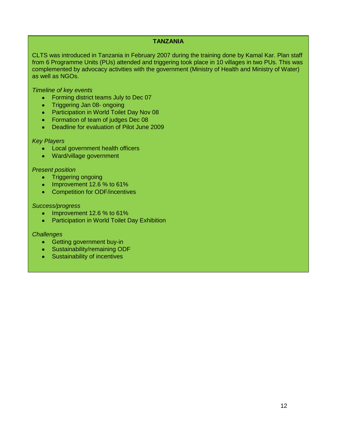#### **TANZANIA**

CLTS was introduced in Tanzania in February 2007 during the training done by Kamal Kar. Plan staff from 6 Programme Units (PUs) attended and triggering took place in 10 villages in two PUs. This was complemented by advocacy activities with the government (Ministry of Health and Ministry of Water) as well as NGOs.

*Timeline of key events*

- Forming district teams July to Dec 07
- Triggering Jan 08- ongoing
- Participation in World Toilet Day Nov 08
- Formation of team of judges Dec 08
- Deadline for evaluation of Pilot June 2009

#### *Key Players*

- Local government health officers
- Ward/village government

#### *Present position*

- Triggering ongoing
- $\bullet$  Improvement 12.6 % to 61%
- Competition for ODF/incentives

#### *Success/progress*

- Improvement 12.6 % to 61%  $\bullet$  .
- Participation in World Toilet Day Exhibition

#### *Challenges*

- Getting government buy-in
- Sustainability/remaining ODF
- Sustainability of incentives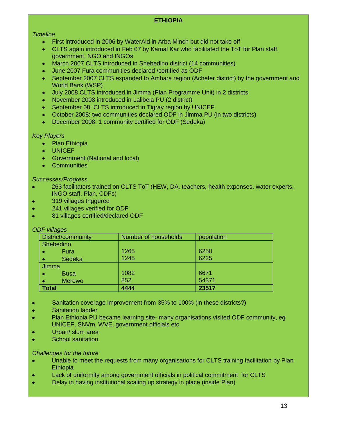# **ETHIOPIA**

## *Timeline*

- First introduced in 2006 by WaterAid in Arba Minch but did not take off  $\bullet$
- CLTS again introduced in Feb 07 by Kamal Kar who facilitated the ToT for Plan staff,  $\bullet$  . government, NGO and INGOs
- March 2007 CLTS introduced in Shebedino district (14 communities)
- June 2007 Fura communities declared /certified as ODF
- September 2007 CLTS expanded to Amhara region (Achefer district) by the government and  $\bullet$ World Bank (WSP)
- July 2008 CLTS introduced in Jimma (Plan Programme Unit) in 2 districts  $\bullet$
- November 2008 introduced in Lalibela PU (2 district)
- September 08: CLTS introduced in Tigray region by UNICEF  $\bullet$
- October 2008: two communities declared ODF in Jimma PU (in two districts)  $\bullet$
- December 2008: 1 community certified for ODF (Sedeka)  $\bullet$

#### *Key Players*

- Plan Ethiopia  $\bullet$
- UNICEF
- Government (National and local)
- **•** Communities

#### *Successes/Progress*

- 263 facilitators trained on CLTS ToT (HEW, DA, teachers, health expenses, water experts,  $\bullet$ INGO staff, Plan, CDFs)
- 319 villages triggered
- 241 villages verified for ODF
- 81 villages certified/declared ODF

| <b>ODF</b> villages |                      |       |
|---------------------|----------------------|-------|
| District/community  | Number of households |       |
| Shebedino           |                      |       |
| Fura                | 1265                 | 6250  |
| Sedeka              | 1245                 | 6225  |
| <b>Jimma</b>        |                      |       |
| <b>Busa</b>         | 1082                 | 6671  |
| <b>Merewo</b>       | 852                  | 54371 |
| <b>Total</b>        | 4444                 | 23517 |

- Sanitation coverage improvement from 35% to 100% (in these districts?)
- Sanitation ladder
- Plan Ethiopia PU became learning site- many organisations visited ODF community, eg ó UNICEF, SNVm, WVE, government officials etc
- Urban/ slum area
- School sanitation ó

#### *Challenges for the future*

- Unable to meet the requests from many organisations for CLTS training facilitation by Plan  $\bullet$ **Ethiopia**
- Lack of uniformity among government officials in political commitment for CLTS
- Delay in having institutional scaling up strategy in place (inside Plan)ó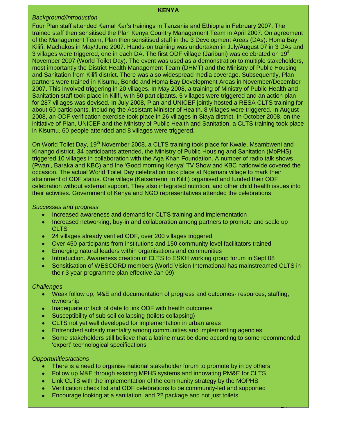#### **KENYA**

#### *Background/introduction*

Four Plan staff attended Kamal Kar"s trainings in Tanzania and Ethiopia in February 2007. The trained staff then sensitised the Plan Kenya Country Management Team in April 2007. On agreement of the Management Team, Plan then sensitised staff in the 3 Development Areas (DAs): Homa Bay, Kilifi, Machakos in May/June 2007. Hands-on training was undertaken in July/August 07 in 3 DAs and 3 villages were triggered, one in each DA. The first ODF village (Jaribuni) was celebrated on 19<sup>th</sup> November 2007 (World Toilet Day). The event was used as a demonstration to multiple stakeholders, most importantly the District Health Management Team (DHMT) and the Ministry of Public Housing and Sanitation from Kilifi district. There was also widespread media coverage. Subsequently, Plan partners were trained in Kisumu, Bondo and Homa Bay Development Areas in November/December 2007. This involved triggering in 20 villages. In May 2008, a training of Ministry of Public Health and Sanitation staff took place in Kilifi, with 50 participants. 5 villages were triggered and an action plan for 287 villages was devised. In July 2008, Plan and UNICEF jointly hosted a RESA CLTS training for about 60 participants, including the Assistant Minister of Health. 8 villages were triggered. In August 2008, an ODF verification exercise took place in 26 villages in Siaya district. In October 2008, on the initiative of Plan, UNICEF and the Ministry of Public Health and Sanitation, a CLTS training took place in Kisumu. 60 people attended and 8 villages were triggered.

On World Toilet Day, 19<sup>th</sup> November 2008, a CLTS training took place for Kwale, Msambweni and Kinango district. 34 participants attended, the Ministry of Public Housing and Sanitation (MoPHS) triggered 10 villages in collaboration with the Aga Khan Foundation. A number of radio talk shows (Pwani, Baraka and KBC) and the "Good morning Kenya" TV Show and KBC nationwide covered the occasion. The actual World Toilet Day celebration took place at Ngamani village to mark their attainment of ODF status. One village (Katsemerini in Kilifi) organised and funded their ODF celebration without external support. They also integrated nutrition, and other child health issues into their activities. Government of Kenya and NGO representatives attended the celebrations.

## *Successes and progress*

- Increased awareness and demand for CLTS training and implementation
- Increased networking, buy-in and collaboration among partners to promote and scale up  $\bullet$ **CLTS**
- 24 villages already verified ODF, over 200 villages triggered  $\bullet$  .
- Over 450 participants from institutions and 150 community level facilitators trained
- Emerging natural leaders within organisations and communities
- Introduction. Awareness creation of CLTS to ESKH working group forum in Sept 08  $\bullet$
- Sensitisation of WESCORD members (World Vision International has mainstreamed CLTS in their 3 year programme plan effective Jan 09)

## *Challenges*

- Weak follow up, M&E and documentation of progress and outcomes- resources, staffing,  $\bullet$  . ownership
- Inadequate or lack of date to link ODF with health outcomes  $\bullet$
- Susceptibility of sub soil collapsing (toilets collapsing)
- CLTS not yet well developed for implementation in urban areas  $\bullet$
- Entrenched subsidy mentality among communities and implementing agencies
- Some stakeholders still believe that a latrine must be done according to some recommended 'expert' technological specifications

 $\overline{\phantom{a}}$ 

## *Opportunities/actions*

- There is a need to organise national stakeholder forum to promote by in by others
- Follow up M&E through existing MPHS systems and innovating PM&E for CLTS
- Link CLTS with the implementation of the community strategy by the MOPHS  $\bullet$
- Verification check list and ODF celebrations to be community-led and supported  $\bullet$
- Encourage looking at a sanitation and ?? package and not just toilets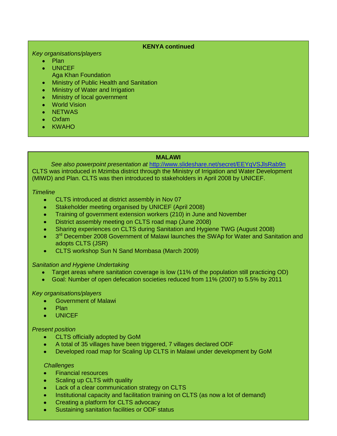## **KENYA continued**

#### *Key organisations/players*

- Plan  $\bullet$  .
- UNICEF
	- Aga Khan Foundation
- Ministry of Public Health and Sanitation  $\bullet$  .
- Ministry of Water and Irrigation  $\bullet$
- Ministry of local government
- **World Vision**
- NETWAS
- Oxfam
- KWAHO

## **MALAWI**

*See also powerpoint presentation at* <http://www.slideshare.net/secret/EEYqVSJlsRab9n> CLTS was introduced in Mzimba district through the Ministry of Irrigation and Water Development (MIWD) and Plan. CLTS was then introduced to stakeholders in April 2008 by UNICEF.

## *Timeline*

- CLTS introduced at district assembly in Nov 07
- Stakeholder meeting organised by UNICEF (April 2008)
- Training of government extension workers (210) in June and November
- District assembly meeting on CLTS road map (June 2008)
- Sharing experiences on CLTS during Sanitation and Hygiene TWG (August 2008)
- 3<sup>rd</sup> December 2008 Government of Malawi launches the SWAp for Water and Sanitation and adopts CLTS (JSR)
- CLTS workshop Sun N Sand Mombasa (March 2009)

## *Sanitation and Hygiene Undertaking*

- Target areas where sanitation coverage is low (11% of the population still practicing OD)
- Goal: Number of open defecation societies reduced from 11% (2007) to 5.5% by 2011  $\bullet$  . <br> <br> :

## *Key organisations/players*

- Government of Malawi
- Plan
- UNICEF

## *Present position*

- CLTS officially adopted by GoM
- A total of 35 villages have been triggered, 7 villages declared ODF
- Developed road map for Scaling Up CLTS in Malawi under development by GoM

#### *Challenges*

- Financial resources
- Scaling up CLTS with quality
- Lack of a clear communication strategy on CLTS
- Institutional capacity and facilitation training on CLTS (as now a lot of demand)
- Creating a platform for CLTS advocacy
- Sustaining sanitation facilities or ODF status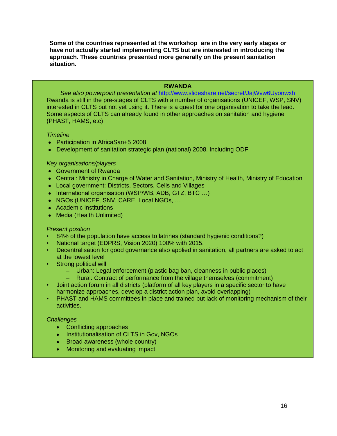**Some of the countries represented at the workshop are in the very early stages or have not actually started implementing CLTS but are interested in introducing the approach. These countries presented more generally on the present sanitation situation.**

## **RWANDA**

*See also powerpoint presentation at* <http://www.slideshare.net/secret/JajWvw6Uyonwxh> Rwanda is still in the pre-stages of CLTS with a number of organisations (UNICEF, WSP, SNV) interested in CLTS but not yet using it. There is a quest for one organisation to take the lead. Some aspects of CLTS can already found in other approaches on sanitation and hygiene (PHAST, HAMS, etc)

#### *Timeline*

- Participation in AfricaSan+5 2008
- Development of sanitation strategic plan (national) 2008. Including ODF

#### *Key organisations/players*

- Government of Rwanda
- Central: Ministry in Charge of Water and Sanitation, Ministry of Health, Ministry of Education
- Local government: Districts, Sectors, Cells and Villages
- International organisation (WSP/WB, ADB, GTZ, BTC ...)
- NGOs (UNICEF, SNV, CARE, Local NGOs, …
- Academic institutions
- Media (Health Unlimited)

#### *Present position*

- 84% of the population have access to latrines (standard hygienic conditions?)
- National target (EDPRS, Vision 2020) 100% with 2015.
- Decentralisation for good governance also applied in sanitation, all partners are asked to act at the lowest level
- Strong political will
	- Urban: Legal enforcement (plastic bag ban, cleanness in public places)
	- Rural: Contract of performance from the village themselves (commitment)
- Joint action forum in all districts (platform of all key players in a specific sector to have harmonize approaches, develop a district action plan, avoid overlapping)
- PHAST and HAMS committees in place and trained but lack of monitoring mechanism of their activities.

#### *Challenges*

- Conflicting approaches
- Institutionalisation of CLTS in Gov, NGOs
- Broad awareness (whole country)
- Monitoring and evaluating impact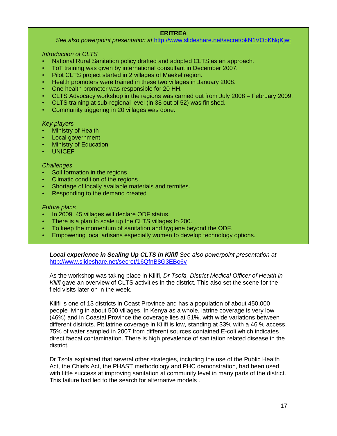## **ERITREA**

*See also powerpoint presentation at* <http://www.slideshare.net/secret/okN1VObKNqKjwf>

#### *Introduction of CLTS*

- National Rural Sanitation policy drafted and adopted CLTS as an approach.
- ToT training was given by international consultant in December 2007.
- Pilot CLTS project started in 2 villages of Maekel region.
- Health promoters were trained in these two villages in January 2008.
- One health promoter was responsible for 20 HH.
- CLTS Advocacy workshop in the regions was carried out from July 2008 February 2009.
- CLTS training at sub-regional level (in 38 out of 52) was finished.
- Community triggering in 20 villages was done.

#### *Key players*

- Ministry of Health
- Local government
- Ministry of Education
- UNICEF

#### *Challenges*

- Soil formation in the regions
- Climatic condition of the regions
- Shortage of locally available materials and termites.
- Responding to the demand created

## *Future plans*

- In 2009, 45 villages will declare ODF status.
- There is a plan to scale up the CLTS villages to 200.
- To keep the momentum of sanitation and hygiene beyond the ODF.
- Empowering local artisans especially women to develop technology options.

*Local experience in Scaling Up CLTS in Kilifi See also powerpoint presentation at* <http://www.slideshare.net/secret/16QfnB8G3EBo6v>

As the workshop was taking place in Kilifi, *Dr Tsofa, District Medical Officer of Health in Kilifi* gave an overview of CLTS activities in the district. This also set the scene for the field visits later on in the week.

Kilifi is one of 13 districts in Coast Province and has a population of about 450,000 people living in about 500 villages. In Kenya as a whole, latrine coverage is very low (46%) and in Coastal Province the coverage lies at 51%, with wide variations between different districts. Pit latrine coverage in Kilifi is low, standing at 33% with a 46 % access. 75% of water sampled in 2007 from different sources contained E-coli which indicates direct faecal contamination. There is high prevalence of sanitation related disease in the district.

Dr Tsofa explained that several other strategies, including the use of the Public Health Act, the Chiefs Act, the PHAST methodology and PHC demonstration, had been used with little success at improving sanitation at community level in many parts of the district. This failure had led to the search for alternative models .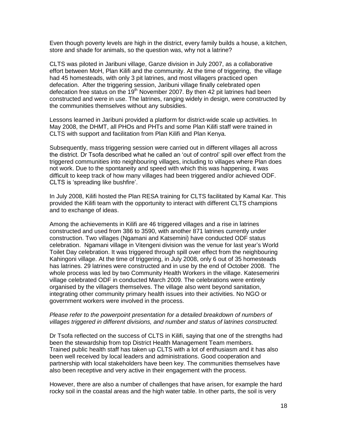Even though poverty levels are high in the district, every family builds a house, a kitchen, store and shade for animals, so the question was, why not a latrine?

CLTS was piloted in Jaribuni village, Ganze division in July 2007, as a collaborative effort between MoH, Plan Kilifi and the community. At the time of triggering, the village had 45 homesteads, with only 3 pit latrines, and most villagers practiced open defecation. After the triggering session, Jaribuni village finally celebrated open defecation free status on the  $19<sup>th</sup>$  November 2007. By then 42 pit latrines had been constructed and were in use. The latrines, ranging widely in design, were constructed by the communities themselves without any subsidies.

Lessons learned in Jaribuni provided a platform for district-wide scale up activities. In May 2008, the DHMT, all PHOs and PHTs and some Plan Kilifi staff were trained in CLTS with support and facilitation from Plan Kilifi and Plan Kenya.

Subsequently, mass triggering session were carried out in different villages all across the district. Dr Tsofa described what he called an "out of control" spill over effect from the triggered communities into neighbouring villages, including to villages where Plan does not work. Due to the spontaneity and speed with which this was happening, it was difficult to keep track of how many villages had been triggered and/or achieved ODF. CLTS is "spreading like bushfire".

In July 2008, Kilifi hosted the Plan RESA training for CLTS facilitated by Kamal Kar. This provided the Kilifi team with the opportunity to interact with different CLTS champions and to exchange of ideas.

Among the achievements in Kilifi are 46 triggered villages and a rise in latrines constructed and used from 386 to 3590, with another 871 latrines currently under construction. Two villages (Ngamani and Katsemini) have conducted ODF status celebration. Ngamani village in Vitengeni division was the venue for last year"s World Toilet Day celebration. It was triggered through spill over effect from the neighbouring Kahingoni village. At the time of triggering, in July 2008, only 6 out of 35 homesteads has latrines. 29 latrines were constructed and in use by the end of October 2008. The whole process was led by two Community Health Workers in the village. Katesemerini village celebrated ODF in conducted March 2009. The celebrations were entirely organised by the villagers themselves. The village also went beyond sanitation, integrating other community primary health issues into their activities. No NGO or government workers were involved in the process.

#### *Please refer to the powerpoint presentation for a detailed breakdown of numbers of villages triggered in different divisions, and number and status of latrines constructed.*

Dr Tsofa reflected on the success of CLTS in Kilifi, saying that one of the strengths had been the stewardship from top District Health Management Team members. Trained public health staff has taken up CLTS with a lot of enthusiasm and it has also been well received by local leaders and administrations. Good cooperation and partnership with local stakeholders have been key. The communities themselves have also been receptive and very active in their engagement with the process.

However, there are also a number of challenges that have arisen, for example the hard rocky soil in the coastal areas and the high water table. In other parts, the soil is very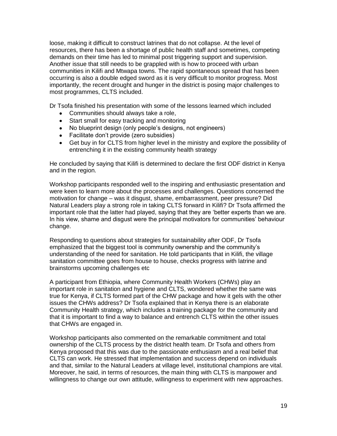loose, making it difficult to construct latrines that do not collapse. At the level of resources, there has been a shortage of public health staff and sometimes, competing demands on their time has led to minimal post triggering support and supervision. Another issue that still needs to be grappled with is how to proceed with urban communities in Kilifi and Mtwapa towns. The rapid spontaneous spread that has been occurring is also a double edged sword as it is very difficult to monitor progress. Most importantly, the recent drought and hunger in the district is posing major challenges to most programmes, CLTS included.

Dr Tsofa finished his presentation with some of the lessons learned which included

- Communities should always take a role,
- Start small for easy tracking and monitoring
- No blueprint design (only people"s designs, not engineers)
- Facilitate don"t provide (zero subsidies)
- Get buy in for CLTS from higher level in the ministry and explore the possibility of entrenching it in the existing community health strategy

He concluded by saying that Kilifi is determined to declare the first ODF district in Kenya and in the region.

Workshop participants responded well to the inspiring and enthusiastic presentation and were keen to learn more about the processes and challenges. Questions concerned the motivation for change – was it disgust, shame, embarrassment, peer pressure? Did Natural Leaders play a strong role in taking CLTS forward in Kilifi? Dr Tsofa affirmed the important role that the latter had played, saying that they are "better experts than we are. In his view, shame and disqust were the principal motivators for communities' behaviour change.

Responding to questions about strategies for sustainability after ODF, Dr Tsofa emphasized that the biggest tool is community ownership and the community"s understanding of the need for sanitation. He told participants that in Kilifi, the village sanitation committee goes from house to house, checks progress with latrine and brainstorms upcoming challenges etc

A participant from Ethiopia, where Community Health Workers (CHWs) play an important role in sanitation and hygiene and CLTS, wondered whether the same was true for Kenya, if CLTS formed part of the CHW package and how it gels with the other issues the CHWs address? Dr Tsofa explained that in Kenya there is an elaborate Community Health strategy, which includes a training package for the community and that it is important to find a way to balance and entrench CLTS within the other issues that CHWs are engaged in.

Workshop participants also commented on the remarkable commitment and total ownership of the CLTS process by the district health team. Dr Tsofa and others from Kenya proposed that this was due to the passionate enthusiasm and a real belief that CLTS can work. He stressed that implementation and success depend on individuals and that, similar to the Natural Leaders at village level, institutional champions are vital. Moreover, he said, in terms of resources, the main thing with CLTS is manpower and willingness to change our own attitude, willingness to experiment with new approaches.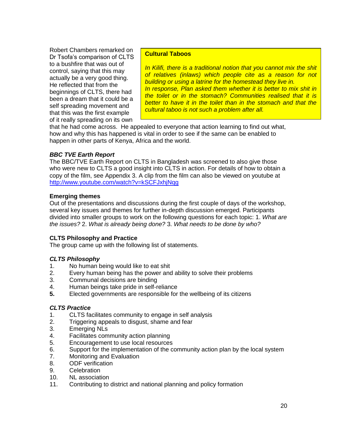Robert Chambers remarked on Dr Tsofa"s comparison of CLTS to a bushfire that was out of control, saying that this may actually be a very good thing. He reflected that from the beginnings of CLTS, there had been a dream that it could be a self spreading movement and that this was the first example of it really spreading on its own

## **Cultural Taboos**

*In Kilifi, there is a traditional notion that you cannot mix the shit of relatives (inlaws) which people cite as a reason for not building or using a latrine for the homestead they live in. In response, Plan asked them whether it is better to mix shit in the toilet or in the stomach? Communities realised that it is better to have it in the toilet than in the stomach and that the cultural taboo is not such a problem after all.*

that he had come across. He appealed to everyone that action learning to find out what, how and why this has happened is vital in order to see if the same can be enabled to happen in other parts of Kenya, Africa and the world.

## *BBC TVE Earth Report*

The BBC/TVE Earth Report on CLTS in Bangladesh was screened to also give those who were new to CLTS a good insight into CLTS in action. For details of how to obtain a copy of the film, see Appendix 3. A clip from the film can also be viewed on youtube at <http://www.youtube.com/watch?v=kSCFJxhjNqg>

## **Emerging themes**

Out of the presentations and discussions during the first couple of days of the workshop, several key issues and themes for further in-depth discussion emerged. Participants divided into smaller groups to work on the following questions for each topic: 1. *What are the issues?* 2. *What is already being done?* 3. *What needs to be done by who?*

## **CLTS Philosophy and Practice**

The group came up with the following list of statements.

## *CLTS Philosophy*

- 1. No human being would like to eat shit
- 2. Every human being has the power and ability to solve their problems
- 3. Communal decisions are binding
- 4. Human beings take pride in self-reliance
- **5.** Elected governments are responsible for the wellbeing of its citizens

#### *CLTS Practice*

- 1. CLTS facilitates community to engage in self analysis
- 2. Triggering appeals to disgust, shame and fear
- 3. Emerging NLs
- 4. Facilitates community action planning
- 5. Encouragement to use local resources
- 6. Support for the implementation of the community action plan by the local system
- 7. Monitoring and Evaluation
- 8. ODF verification
- 9. Celebration
- 10. NL association
- 11. Contributing to district and national planning and policy formation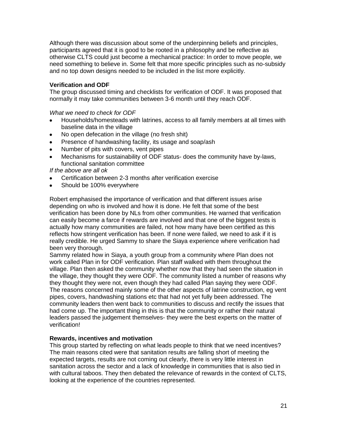Although there was discussion about some of the underpinning beliefs and principles, participants agreed that it is good to be rooted in a philosophy and be reflective as otherwise CLTS could just become a mechanical practice: In order to move people, we need something to believe in. Some felt that more specific principles such as no-subsidy and no top down designs needed to be included in the list more explicitly.

## **Verification and ODF**

The group discussed timing and checklists for verification of ODF. It was proposed that normally it may take communities between 3-6 month until they reach ODF.

*What we need to check for ODF*

- Households/homesteads with latrines, access to all family members at all times with  $\bullet$ baseline data in the village
- No open defecation in the village (no fresh shit)  $\bullet$
- Presence of handwashing facility, its usage and soap/ash  $\bullet$
- Number of pits with covers, vent pipes  $\bullet$
- Mechanisms for sustainability of ODF status- does the community have by-laws, functional sanitation committee

*If the above are all ok*

- Certification between 2-3 months after verification exercise
- Should be 100% everywhere

Robert emphasised the importance of verification and that different issues arise depending on who is involved and how it is done. He felt that some of the best verification has been done by NLs from other communities. He warned that verification can easily become a farce if rewards are involved and that one of the biggest tests is actually how many communities are failed, not how many have been certified as this reflects how stringent verification has been. If none were failed, we need to ask if it is really credible. He urged Sammy to share the Siaya experience where verification had been very thorough.

Sammy related how in Siaya, a youth group from a community where Plan does not work called Plan in for ODF verification. Plan staff walked with them throughout the village. Plan then asked the community whether now that they had seen the situation in the village, they thought they were ODF. The community listed a number of reasons why they thought they were not, even though they had called Plan saying they were ODF. The reasons concerned mainly some of the other aspects of latrine construction, eg vent pipes, covers, handwashing stations etc that had not yet fully been addressed. The community leaders then went back to communities to discuss and rectify the issues that had come up. The important thing in this is that the community or rather their natural leaders passed the judgement themselves- they were the best experts on the matter of verification!

## **Rewards, incentives and motivation**

This group started by reflecting on what leads people to think that we need incentives? The main reasons cited were that sanitation results are falling short of meeting the expected targets, results are not coming out clearly, there is very little interest in sanitation across the sector and a lack of knowledge in communities that is also tied in with cultural taboos. They then debated the relevance of rewards in the context of CLTS, looking at the experience of the countries represented.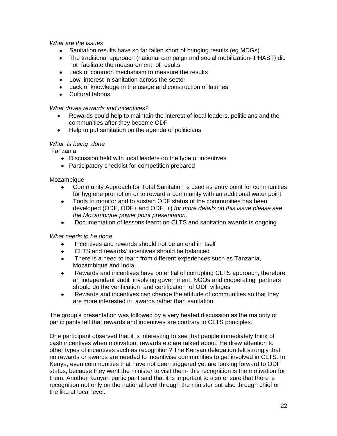## *What are the issues*

- Sanitation results have so far fallen short of bringing results (eg MDGs)
- The traditional approach (national campaign and social mobilization- PHAST) did not facilitate the measurement of results
- Lack of common mechanism to measure the results
- Low interest in sanitation across the sector
- Lack of knowledge in the usage and construction of latrines
- Cultural taboos

## *What drives rewards and incentives?*

- Rewards could help to maintain the interest of local leaders, politicians and the communities after they become ODF
- Help to put sanitation on the agenda of politicians  $\bullet$

## *What is being done*

Tanzania

- Discussion held with local leaders on the type of incentives
- Participatory checklist for competition prepared

## **Mozambique**

- Community Approach for Total Sanitation is used as entry point for communities for hygiene promotion or to reward a community with an additional water point
- Tools to monitor and to sustain ODF status of the communities has been developed (ODF, ODF+ and ODF++) *for more details on this issue please see the Mozambique power point presentation.*
- Documentation of lessons learnt on CLTS and sanitation awards is ongoing

#### *What needs to be done*

- Incentives and rewards should not be an end in itself
- CLTS and rewards/ incentives should be balanced
- There is a need to learn from different experiences such as Tanzania,  $\bullet$ Mozambique and India.
- Rewards and incentives have potential of corrupting CLTS approach, therefore an independent audit involving government, NGOs and cooperating partners should do the verification and certification of ODF villages
- Rewards and incentives can change the attitude of communities so that they  $\bullet$ are more interested in awards rather than sanitation

The group"s presentation was followed by a very heated discussion as the majority of participants felt that rewards and incentives are contrary to CLTS principles.

One participant observed that it is interesting to see that people immediately think of cash incentives when motivation, rewards etc are talked about. He drew attention to other types of incentives such as recognition? The Kenyan delegation felt strongly that no rewards or awards are needed to incentivise communities to get involved in CLTS. In Kenya, even communities that have not been triggered yet are looking forward to ODF status, because they want the minister to visit them- this recognition is the motivation for them. Another Kenyan participant said that it is important to also ensure that there is recognition not only on the national level through the minister but also through chief or the like at local level.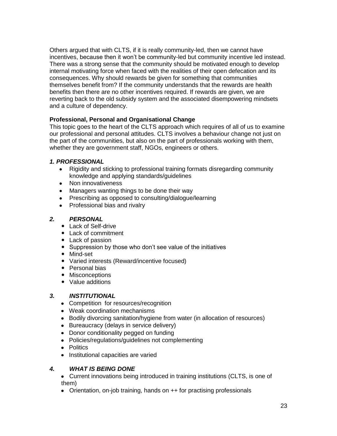Others argued that with CLTS, if it is really community-led, then we cannot have incentives, because then it won"t be community-led but community incentive led instead. There was a strong sense that the community should be motivated enough to develop internal motivating force when faced with the realities of their open defecation and its consequences. Why should rewards be given for something that communities themselves benefit from? If the community understands that the rewards are health benefits then there are no other incentives required. If rewards are given, we are reverting back to the old subsidy system and the associated disempowering mindsets and a culture of dependency.

# **Professional, Personal and Organisational Change**

This topic goes to the heart of the CLTS approach which requires of all of us to examine our professional and personal attitudes. CLTS involves a behaviour change not just on the part of the communities, but also on the part of professionals working with them, whether they are government staff, NGOs, engineers or others.

# *1. PROFESSIONAL*

- Rigidity and sticking to professional training formats disregarding community knowledge and applying standards/guidelines
- Non innovativeness
- Managers wanting things to be done their way
- Prescribing as opposed to consulting/dialogue/learning
- Professional bias and rivalry

# *2. PERSONAL*

- Lack of Self-drive
- Lack of commitment
- Lack of passion
- Suppression by those who don't see value of the initiatives
- Mind-set
- Varied interests (Reward/incentive focused)
- Personal bias
- Misconceptions
- Value additions

# *3. INSTITUTIONAL*

- Competition for resources/recognition
- Weak coordination mechanisms
- Bodily divorcing sanitation/hygiene from water (in allocation of resources)
- Bureaucracy (delays in service delivery)
- Donor conditionality pegged on funding
- Policies/regulations/guidelines not complementing
- Politics
- Institutional capacities are varied

# *4. WHAT IS BEING DONE*

- Current innovations being introduced in training institutions (CLTS, is one of them)
- Orientation, on-job training, hands on ++ for practising professionals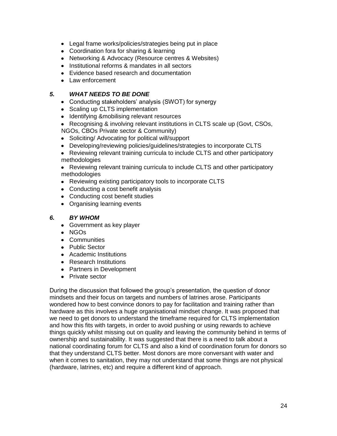- Legal frame works/policies/strategies being put in place
- Coordination fora for sharing & learning
- Networking & Advocacy (Resource centres & Websites)
- Institutional reforms & mandates in all sectors
- Evidence based research and documentation
- Law enforcement

## *5. WHAT NEEDS TO BE DONE*

- Conducting stakeholders' analysis (SWOT) for synergy
- Scaling up CLTS implementation
- Identifying &mobilising relevant resources
- Recognising & involving relevant institutions in CLTS scale up (Govt, CSOs, NGOs, CBOs Private sector & Community)
- Soliciting/ Advocating for political will/support
- Developing/reviewing policies/guidelines/strategies to incorporate CLTS
- Reviewing relevant training curricula to include CLTS and other participatory methodologies
- Reviewing relevant training curricula to include CLTS and other participatory methodologies
- Reviewing existing participatory tools to incorporate CLTS
- Conducting a cost benefit analysis
- Conducting cost benefit studies
- Organising learning events

## *6. BY WHOM*

- Government as key player
- NGOs
- Communities
- Public Sector
- Academic Institutions
- Research Institutions
- Partners in Development
- Private sector

During the discussion that followed the group"s presentation, the question of donor mindsets and their focus on targets and numbers of latrines arose. Participants wondered how to best convince donors to pay for facilitation and training rather than hardware as this involves a huge organisational mindset change. It was proposed that we need to get donors to understand the timeframe required for CLTS implementation and how this fits with targets, in order to avoid pushing or using rewards to achieve things quickly whilst missing out on quality and leaving the community behind in terms of ownership and sustainability. It was suggested that there is a need to talk about a national coordinating forum for CLTS and also a kind of coordination forum for donors so that they understand CLTS better. Most donors are more conversant with water and when it comes to sanitation, they may not understand that some things are not physical (hardware, latrines, etc) and require a different kind of approach.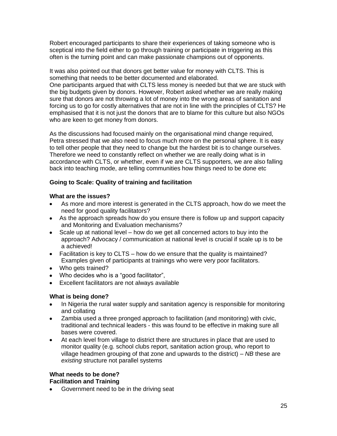Robert encouraged participants to share their experiences of taking someone who is sceptical into the field either to go through training or participate in triggering as this often is the turning point and can make passionate champions out of opponents.

It was also pointed out that donors get better value for money with CLTS. This is something that needs to be better documented and elaborated. One participants argued that with CLTS less money is needed but that we are stuck with the big budgets given by donors. However, Robert asked whether we are really making sure that donors are not throwing a lot of money into the wrong areas of sanitation and forcing us to go for costly alternatives that are not in line with the principles of CLTS? He emphasised that it is not just the donors that are to blame for this culture but also NGOs who are keen to get money from donors.

As the discussions had focused mainly on the organisational mind change required, Petra stressed that we also need to focus much more on the personal sphere. It is easy to tell other people that they need to change but the hardest bit is to change ourselves. Therefore we need to constantly reflect on whether we are really doing what is in accordance with CLTS, or whether, even if we are CLTS supporters, we are also falling back into teaching mode, are telling communities how things need to be done etc

## **Going to Scale: Quality of training and facilitation**

## **What are the issues?**

- As more and more interest is generated in the CLTS approach, how do we meet the need for good quality facilitators?
- As the approach spreads how do you ensure there is follow up and support capacity and Monitoring and Evaluation mechanisms?
- Scale up at national level how do we get all concerned actors to buy into the approach? Advocacy / communication at national level is crucial if scale up is to be a achieved!
- Facilitation is key to CLTS how do we ensure that the quality is maintained? Examples given of participants at trainings who were very poor facilitators.
- Who gets trained?
- Who decides who is a "good facilitator",
- Excellent facilitators are not always available

# **What is being done?**

- In Nigeria the rural water supply and sanitation agency is responsible for monitoring  $\bullet$ and collating
- Zambia used a three pronged approach to facilitation (and monitoring) with civic,  $\bullet$ traditional and technical leaders - this was found to be effective in making sure all bases were covered.
- At each level from village to district there are structures in place that are used to  $\bullet$ monitor quality (e.g. school clubs report, sanitation action group, who report to village headmen grouping of that zone and upwards to the district) – *NB* these are *existing* structure not parallel systems

## **What needs to be done? Facilitation and Training**

Government need to be in the driving seat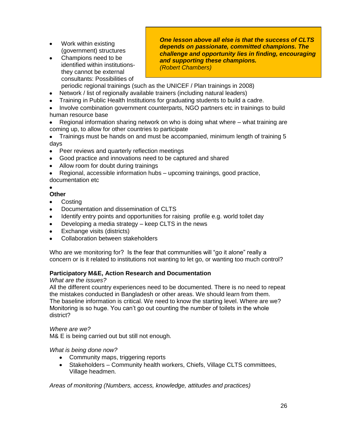- Work within existing (government) structures
- $\bullet$ Champions need to be identified within institutionsthey cannot be external consultants: Possibilities of

*One lesson above all else is that the success of CLTS depends on passionate, committed champions. The challenge and opportunity lies in finding, encouraging and supporting these champions. (Robert Chambers)*

periodic regional trainings (such as the UNICEF / Plan trainings in 2008)

- Network / list of regionally available trainers (including natural leaders)
- Training in Public Health Institutions for graduating students to build a cadre.
- Involve combination government counterparts, NGO partners etc in trainings to build human resource base
- Regional information sharing network on who is doing what where what training are coming up, to allow for other countries to participate
- Trainings must be hands on and must be accompanied, minimum length of training 5 days
- Peer reviews and quarterly reflection meetings
- Good practice and innovations need to be captured and shared
- Allow room for doubt during trainings
- Regional, accessible information hubs upcoming trainings, good practice, documentation etc
- 

## **Other**

- **Costing**  $\bullet$
- Documentation and dissemination of CLTS
- Identify entry points and opportunities for raising profile e.g. world toilet day
- Developing a media strategy keep CLTS in the news
- Exchange visits (districts)
- Collaboration between stakeholders

Who are we monitoring for? Is the fear that communities will "go it alone" really a concern or is it related to institutions not wanting to let go, or wanting too much control?

## **Participatory M&E, Action Research and Documentation**

## *What are the issues?*

All the different country experiences need to be documented. There is no need to repeat the mistakes conducted in Bangladesh or other areas. We should learn from them. The baseline information is critical. We need to know the starting level. Where are we? Monitoring is so huge. You can"t go out counting the number of toilets in the whole district?

# *Where are we?*

M& E is being carried out but still not enough.

## *What is being done now?*

- Community maps, triggering reports
- Stakeholders Community health workers, Chiefs, Village CLTS committees, Village headmen.

*Areas of monitoring (Numbers, access, knowledge, attitudes and practices)*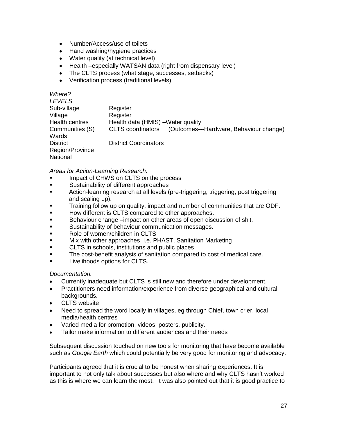- Number/Access/use of toilets
- Hand washing/hygiene practices
- Water quality (at technical level)
- Health –especially WATSAN data (right from dispensary level)
- The CLTS process (what stage, successes, setbacks)
- Verification process (traditional levels)

| Where?                |                                                                     |
|-----------------------|---------------------------------------------------------------------|
| <b>LEVELS</b>         |                                                                     |
| Sub-village           | Register                                                            |
| Village               | Register                                                            |
| <b>Health centres</b> | Health data (HMIS) - Water quality                                  |
| Communities (S)       | (Outcomes---Hardware, Behaviour change)<br><b>CLTS</b> coordinators |
| Wards                 |                                                                     |
| <b>District</b>       | <b>District Coordinators</b>                                        |
| Region/Province       |                                                                     |
| National              |                                                                     |

*Areas for Action-Learning Research.*

- Impact of CHWS on CLTS on the process
- Sustainability of different approaches
- Action-learning research at all levels (pre-triggering, triggering, post triggering and scaling up).
- Training follow up on quality, impact and number of communities that are ODF.
- How different is CLTS compared to other approaches.
- Behaviour change –impact on other areas of open discussion of shit.
- **Sustainability of behaviour communication messages.**
- Role of women/children in CLTS
- Mix with other approaches i.e. PHAST, Sanitation Marketing
- **EXECUTS** in schools, institutions and public places
- The cost-benefit analysis of sanitation compared to cost of medical care.
- **Livelihoods options for CLTS.**

*Documentation.*

- Currently inadequate but CLTS is still new and therefore under development.
- Practitioners need information/experience from diverse geographical and cultural  $\bullet$ backgrounds.
- CLTS website  $\bullet$
- Need to spread the word locally in villages, eg through Chief, town crier, local  $\bullet$ media/health centres
- Varied media for promotion, videos, posters, publicity.  $\bullet$
- Tailor make information to different audiences and their needs

Subsequent discussion touched on new tools for monitoring that have become available such as *Google Earth* which could potentially be very good for monitoring and advocacy.

Participants agreed that it is crucial to be honest when sharing experiences. It is important to not only talk about successes but also where and why CLTS hasn"t worked as this is where we can learn the most. It was also pointed out that it is good practice to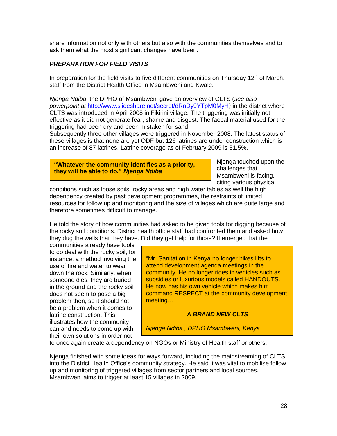share information not only with others but also with the communities themselves and to ask them what the most significant changes have been.

## *PREPARATION FOR FIELD VISITS*

In preparation for the field visits to five different communities on Thursday 12<sup>th</sup> of March, staff from the District Health Office in Msambweni and Kwale.

*Njenga Ndiba*, the DPHO of Msambweni gave an overview of CLTS (*see also powerpoint at* <http://www.slideshare.net/secret/dRnDy9YTpM0MyH>*)* in the district where CLTS was introduced in April 2008 in Fikirini village. The triggering was initially not effective as it did not generate fear, shame and disgust. The faecal material used for the triggering had been dry and been mistaken for sand.

Subsequently three other villages were triggered in November 2008. The latest status of these villages is that none are yet ODF but 126 latrines are under construction which is an increase of 87 latrines. Latrine coverage as of February 2009 is 31.5%.

**"Whatever the community identifies as a priority, they will be able to do."** *Njenga Ndiba*

Njenga touched upon the challenges that Msambweni is facing, citing various physical

conditions such as loose soils, rocky areas and high water tables as well the high dependency created by past development programmes, the restraints of limited resources for follow up and monitoring and the size of villages which are quite large and therefore sometimes difficult to manage.

He told the story of how communities had asked to be given tools for digging because of the rocky soil conditions. District health office staff had confronted them and asked how they dug the wells that they have. Did they get help for those? It emerged that the

communities already have tools to do deal with the rocky soil, for instance, a method involving the use of fire and water to wear down the rock. Similarly, when someone dies, they are buried in the ground and the rocky soil does not seem to pose a big problem then, so it should not be a problem when it comes to latrine construction. This illustrates how the community can and needs to come up with their own solutions in order not

"Mr. Sanitation in Kenya no longer hikes lifts to attend development agenda meetings in the community. He no longer rides in vehicles such as subsidies or luxurious models called HANDOUTS. He now has his own vehicle which makes him command RESPECT at the community development meeting…

#### *A BRAND NEW CLTS*

*Njenga Ndiba , DPHO Msambweni, Kenya*

to once again create a dependency on NGOs or Ministry of Health staff or others.

Njenga finished with some ideas for ways forward, including the mainstreaming of CLTS into the District Health Office's community strategy. He said it was vital to mobilise follow up and monitoring of triggered villages from sector partners and local sources. Msambweni aims to trigger at least 15 villages in 2009.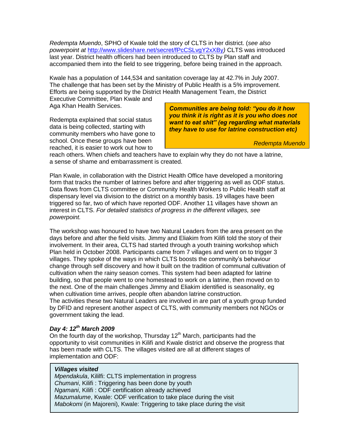*Redempta Muendo*, SPHO of Kwale told the story of CLTS in her district. (*see also powerpoint at* <http://www.slideshare.net/secret/fPcCSLvgY2xXBy>*)* CLTS was introduced last year. District health officers had been introduced to CLTS by Plan staff and accompanied them into the field to see triggering, before being trained in the approach.

Kwale has a population of 144,534 and sanitation coverage lay at 42.7% in July 2007. The challenge that has been set by the Ministry of Public Health is a 5% improvement. Efforts are being supported by the District Health Management Team, the District

Executive Committee, Plan Kwale and Aga Khan Health Services.

Redempta explained that social status data is being collected, starting with community members who have gone to school. Once these groups have been reached, it is easier to work out how to

*Communities are being told: "you do it how you think it is right as it is you who does not want to eat shit" (eg regarding what materials they have to use for latrine construction etc)*

*Redempta Muendo*

reach others. When chiefs and teachers have to explain why they do not have a latrine, a sense of shame and embarrassment is created.

Plan Kwale, in collaboration with the District Health Office have developed a monitoring form that tracks the number of latrines before and after triggering as well as ODF status. Data flows from CLTS committee or Community Health Workers to Public Health staff at dispensary level via division to the district on a monthly basis. 19 villages have been triggered so far, two of which have reported ODF. Another 11 villages have shown an interest in CLTS. *For detailed statistics of progress in the different villages, see powerpoint.*

The workshop was honoured to have two Natural Leaders from the area present on the days before and after the field visits. Jimmy and Eliakim from Kilifi told the story of their involvement. In their area, CLTS had started through a youth training workshop which Plan held in October 2008. Participants came from 7 villages and went on to trigger 3 villages. They spoke of the ways in which CLTS boosts the community"s behaviour change through self discovery and how it built on the tradition of communal cultivation of cultivation when the rainy season comes. This system had been adapted for latrine building, so that people went to one homestead to work on a latrine, then moved on to the next. One of the main challenges Jimmy and Eliakim identified is seasonality, eg when cultivation time arrives, people often abandon latrine construction. The activities these two Natural Leaders are involved in are part of a youth group funded by DFID and represent another aspect of CLTS, with community members not NGOs or government taking the lead.

## *Day 4: 12th March 2009*

On the fourth day of the workshop, Thursday  $12<sup>th</sup>$  March, participants had the opportunity to visit communities in Kilifi and Kwale district and observe the progress that has been made with CLTS. The villages visited are all at different stages of implementation and ODF:

#### *Villages visited*

*Mpendakula*, Kililfi: CLTS implementation in progress *Chumani*, Kilifi : Triggering has been done by youth *Ngamani*, Kilifi : ODF certification already achieved *Mazumalume*, Kwale: ODF verification to take place during the visit *Mabokomi* (in Majoreni), Kwale: Triggering to take place during the visit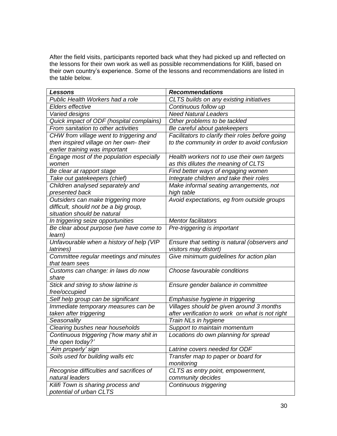After the field visits, participants reported back what they had picked up and reflected on the lessons for their own work as well as possible recommendations for Kilifi, based on their own country"s experience. Some of the lessons and recommendations are listed in the table below.

| <b>Lessons</b>                                              | <b>Recommendations</b>                           |
|-------------------------------------------------------------|--------------------------------------------------|
| Public Health Workers had a role                            | CLTS builds on any existing initiatives          |
| Elders effective                                            | Continuous follow up                             |
| Varied designs                                              | <b>Need Natural Leaders</b>                      |
| Quick impact of ODF (hospital complains)                    | Other problems to be tackled                     |
| From sanitation to other activities                         | Be careful about gatekeepers                     |
| CHW from village went to triggering and                     | Facilitators to clarify their roles before going |
| then inspired village on her own- their                     | to the community in order to avoid confusion     |
| earlier training was important                              |                                                  |
| Engage most of the population especially                    | Health workers not to use their own targets      |
| women                                                       | as this dilutes the meaning of CLTS              |
| Be clear at rapport stage                                   | Find better ways of engaging women               |
| Take out gatekeepers (chief)                                | Integrate children and take their roles          |
| Children analysed separately and                            | Make informal seating arrangements, not          |
| presented back                                              | high table                                       |
| Outsiders can make triggering more                          | Avoid expectations, eg from outside groups       |
| difficult, should not be a big group,                       |                                                  |
| situation should be natural                                 |                                                  |
| In triggering seize opportunities                           | <b>Mentor facilitators</b>                       |
| Be clear about purpose (we have come to                     | Pre-triggering is important                      |
| learn)                                                      |                                                  |
| Unfavourable when a history of help (VIP                    | Ensure that setting is natural (observers and    |
| latrines)                                                   | visitors may distort)                            |
| Committee regular meetings and minutes                      | Give minimum guidelines for action plan          |
| that team sees                                              |                                                  |
| Customs can change: in laws do now                          | Choose favourable conditions                     |
| share                                                       |                                                  |
| Stick and string to show latrine is                         | Ensure gender balance in committee               |
| free/occupied                                               |                                                  |
| Self help group can be significant                          | Emphasise hygiene in triggering                  |
| Immediate temporary measures can be                         | Villages should be given around 3 months         |
| taken after triggering                                      | after verification to work on what is not right  |
| Seasonality                                                 | Train NLs in hygiene                             |
| Clearing bushes near households                             | Support to maintain momentum                     |
| Continuous triggering ('how many shit in                    | Locations do own planning for spread             |
| the open today?'                                            |                                                  |
| 'Aim properly' sign                                         | Latrine covers needed for ODF                    |
| Soils used for building walls etc                           | Transfer map to paper or board for               |
|                                                             | monitoring                                       |
| Recognise difficulties and sacrifices of<br>natural leaders | CLTS as entry point, empowerment,                |
|                                                             | community decides                                |
| Kilifi Town is sharing process and                          | Continuous triggering                            |
| potential of urban CLTS                                     |                                                  |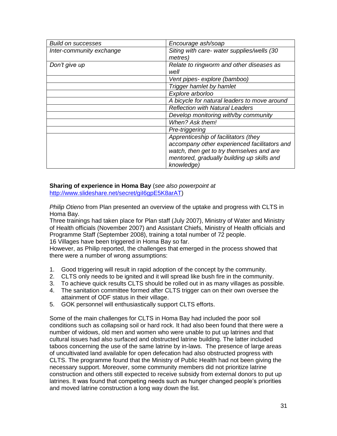| <b>Build on successes</b> | Encourage ash/soap                                       |
|---------------------------|----------------------------------------------------------|
| Inter-community exchange  | Siting with care- water supplies/wells (30<br>metres)    |
| Don't give up             | Relate to ringworm and other diseases as<br>well         |
|                           | Vent pipes- explore (bamboo)                             |
|                           | Trigger hamlet by hamlet                                 |
|                           | Explore arborloo                                         |
|                           | A bicycle for natural leaders to move around             |
|                           | <b>Reflection with Natural Leaders</b>                   |
|                           | Develop monitoring with/by community                     |
|                           | When? Ask them!                                          |
|                           | Pre-triggering                                           |
|                           | Apprenticeship of facilitators (they                     |
|                           | accompany other experienced facilitators and             |
|                           | watch, then get to try themselves and are                |
|                           | mentored, gradually building up skills and<br>knowledge) |

# **Sharing of experience in Homa Bay** (*see also powerpoint at*

[http://www.slideshare.net/secret/giI6gpE5K8arAT\)](http://www.slideshare.net/secret/giI6gpE5K8arAT)

*Philip Otieno* from Plan presented an overview of the uptake and progress with CLTS in Homa Bay.

Three trainings had taken place for Plan staff (July 2007), Ministry of Water and Ministry of Health officials (November 2007) and Assistant Chiefs, Ministry of Health officials and Programme Staff (September 2008), training a total number of 72 people. 16 Villages have been triggered in Homa Bay so far.

However, as Philip reported, the challenges that emerged in the process showed that there were a number of wrong assumptions:

- 1. Good triggering will result in rapid adoption of the concept by the community.
- 2. CLTS only needs to be ignited and it will spread like bush fire in the community.
- 3. To achieve quick results CLTS should be rolled out in as many villages as possible.
- 4. The sanitation committee formed after CLTS trigger can on their own oversee the attainment of ODF status in their village.
- 5. GOK personnel will enthusiastically support CLTS efforts.

Some of the main challenges for CLTS in Homa Bay had included the poor soil conditions such as collapsing soil or hard rock. It had also been found that there were a number of widows, old men and women who were unable to put up latrines and that cultural issues had also surfaced and obstructed latrine building. The latter included taboos concerning the use of the same latrine by in-laws. The presence of large areas of uncultivated land available for open defecation had also obstructed progress with CLTS. The programme found that the Ministry of Public Health had not been giving the necessary support. Moreover, some community members did not prioritize latrine construction and others still expected to receive subsidy from external donors to put up latrines. It was found that competing needs such as hunger changed people"s priorities and moved latrine construction a long way down the list.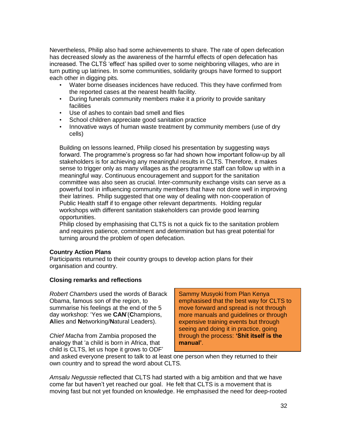Nevertheless, Philip also had some achievements to share. The rate of open defecation has decreased slowly as the awareness of the harmful effects of open defecation has increased. The CLTS "effect" has spilled over to some neighboring villages, who are in turn putting up latrines. In some communities, solidarity groups have formed to support each other in digging pits.

- Water borne diseases incidences have reduced. This they have confirmed from the reported cases at the nearest health facility.
- During funerals community members make it a priority to provide sanitary facilities
- Use of ashes to contain bad smell and flies
- School children appreciate good sanitation practice
- Innovative ways of human waste treatment by community members (use of dry cells)

Building on lessons learned, Philip closed his presentation by suggesting ways forward. The programme"s progress so far had shown how important follow-up by all stakeholders is for achieving any meaningful results in CLTS. Therefore, it makes sense to trigger only as many villages as the programme staff can follow up with in a meaningful way. Continuous encouragement and support for the sanitation committee was also seen as crucial. Inter-community exchange visits can serve as a powerful tool in influencing community members that have not done well in improving their latrines. Philip suggested that one way of dealing with non-cooperation of Public Health staff if to engage other relevant departments. Holding regular workshops with different sanitation stakeholders can provide good learning opportunities.

Philip closed by emphasising that CLTS is not a quick fix to the sanitation problem and requires patience, commitment and determination but has great potential for turning around the problem of open defecation.

## **Country Action Plans**

Participants returned to their country groups to develop action plans for their organisation and country.

## **Closing remarks and reflections**

*Robert Chambers* used the words of Barack Obama, famous son of the region, to summarise his feelings at the end of the 5 day workshop: "Yes we **CAN**"(**C**hampions, **A**llies and **N**etworking/**N**atural Leaders).

*Chief Macha* from Zambia proposed the analogy that "a child is born in Africa, that child is CLTS, let us hope it grows to ODF" Sammy Musyoki from Plan Kenya emphasised that the best way for CLTS to move forward and spread is not through more manuals and guidelines or through expensive training events but through seeing and doing it in practice, going through the process: **"Shit itself is the manual"**.

and asked everyone present to talk to at least one person when they returned to their own country and to spread the word about CLTS.

*Amsalu Negussie* reflected that CLTS had started with a big ambition and that we have come far but haven"t yet reached our goal. He felt that CLTS is a movement that is moving fast but not yet founded on knowledge. He emphasised the need for deep-rooted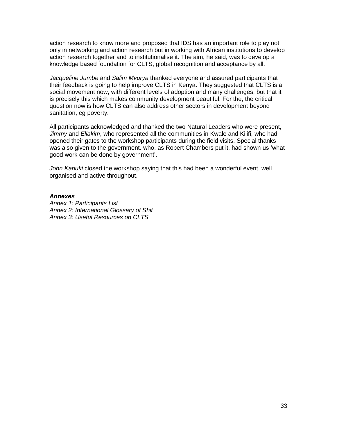action research to know more and proposed that IDS has an important role to play not only in networking and action research but in working with African institutions to develop action research together and to institutionalise it. The aim, he said, was to develop a knowledge based foundation for CLTS, global recognition and acceptance by all.

*Jacqueline Jumbe* and *Salim Mvurya* thanked everyone and assured participants that their feedback is going to help improve CLTS in Kenya. They suggested that CLTS is a social movement now, with different levels of adoption and many challenges, but that it is precisely this which makes community development beautiful. For the, the critical question now is how CLTS can also address other sectors in development beyond sanitation, eg poverty.

All participants acknowledged and thanked the two Natural Leaders who were present, *Jimmy* and *Eliakim*, who represented all the communities in Kwale and Kilifi, who had opened their gates to the workshop participants during the field visits. Special thanks was also given to the government*,* who, as Robert Chambers put it, had shown us "what good work can be done by government".

*John Kariuki* closed the workshop saying that this had been a wonderful event, well organised and active throughout.

#### *Annexes*

*Annex 1: Participants List Annex 2: International Glossary of Shit Annex 3: Useful Resources on CLTS*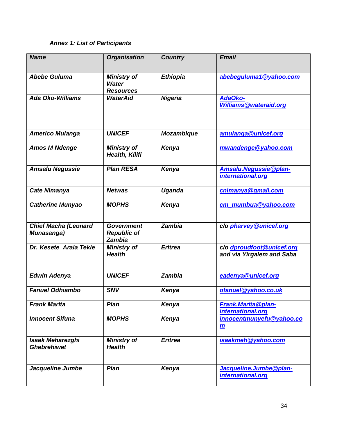# *Annex 1: List of Participants*

| <b>Name</b>                                   | <b>Organisation</b>                                    | <b>Country</b>    | <b>Email</b>                                           |
|-----------------------------------------------|--------------------------------------------------------|-------------------|--------------------------------------------------------|
|                                               |                                                        |                   |                                                        |
| <b>Abebe Guluma</b>                           | <b>Ministry of</b><br><b>Water</b><br><b>Resources</b> | <b>Ethiopia</b>   | abebeguluma1@yahoo.com                                 |
| <b>Ada Oko-Williams</b>                       | <b>WaterAid</b>                                        | <b>Nigeria</b>    | AdaOko-<br><b>Williams@wateraid.org</b>                |
| <b>Americo Muianga</b>                        | <b>UNICEF</b>                                          | <b>Mozambique</b> | amuianga@unicef.org                                    |
| <b>Amos M Ndenge</b>                          | <b>Ministry of</b><br>Health, Kilifi                   | Kenya             | mwandenge@yahoo.com                                    |
| <b>Amsalu Negussie</b>                        | <b>Plan RESA</b>                                       | Kenya             | Amsalu.Negussie@plan-<br>international.org             |
| <b>Cate Nimanya</b>                           | <b>Netwas</b>                                          | Uganda            | cnimanya@gmail.com                                     |
| <b>Catherine Munyao</b>                       | <b>MOPHS</b>                                           | Kenya             | cm_mumbua@yahoo.com                                    |
| <b>Chief Macha (Leonard</b><br>Munasanga)     | <b>Government</b><br><b>Republic of</b><br>Zambia      | Zambia            | c/o pharvey@unicef.org                                 |
| Dr. Kesete Araia Tekie                        | <b>Ministry of</b><br><b>Health</b>                    | <b>Eritrea</b>    | c/o dproudfoot@unicef.org<br>and via Yirgalem and Saba |
| <b>Edwin Adenya</b>                           | <b>UNICEF</b>                                          | <b>Zambia</b>     | eadenya@unicef.org                                     |
| <b>Fanuel Odhiambo</b>                        | <b>SNV</b>                                             | Kenya             | ofanuel@yahoo.co.uk                                    |
| <b>Frank Marita</b>                           | Plan                                                   | Kenya             | Frank. Marita@plan-<br>international.org               |
| <b>Innocent Sifuna</b>                        | <b>MOPHS</b>                                           | Kenya             | innocentmunyefu@yahoo.co<br>$\mathbf{m}$               |
| <b>Isaak Meharezghi</b><br><b>Ghebrehiwet</b> | <b>Ministry of</b><br><b>Health</b>                    | <b>Eritrea</b>    | isaakmeh@yahoo.com                                     |
| Jacqueline Jumbe                              | Plan                                                   | Kenya             | Jacqueline.Jumbe@plan-<br>international.org            |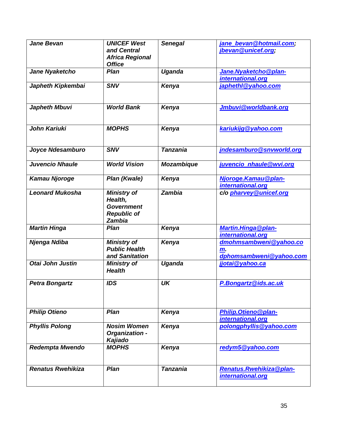| <b>Jane Bevan</b>        | <b>UNICEF West</b><br>and Central<br><b>Africa Regional</b><br><b>Office</b>       | <b>Senegal</b>    | jane bevan@hotmail.com;<br>jbevan@unicef.org;           |
|--------------------------|------------------------------------------------------------------------------------|-------------------|---------------------------------------------------------|
| Jane Nyaketcho           | Plan                                                                               | <b>Uganda</b>     | Jane. Nyaketcho@plan-<br>international.org              |
| Japheth Kipkembai        | <b>SNV</b>                                                                         | Kenya             | japhethl@yahoo.com                                      |
| <b>Japheth Mbuvi</b>     | <b>World Bank</b>                                                                  | Kenya             | Jmbuvi@worldbank.org                                    |
| John Kariuki             | <b>MOPHS</b>                                                                       | Kenya             | kariukijg@yahoo.com                                     |
| Joyce Ndesamburo         | <b>SNV</b>                                                                         | <b>Tanzania</b>   | jndesamburo@snvworld.org                                |
| <b>Juvencio Nhaule</b>   | <b>World Vision</b>                                                                | <b>Mozambique</b> | juvencio nhaule@wvi.org                                 |
| <b>Kamau Njoroge</b>     | Plan (Kwale)                                                                       | Kenya             | Njoroge. Kamau @plan-<br>international.org              |
| <b>Leonard Mukosha</b>   | <b>Ministry of</b><br>Health,<br><b>Government</b><br><b>Republic of</b><br>Zambia | <b>Zambia</b>     | c/o pharvey@unicef.org                                  |
| <b>Martin Hinga</b>      | <b>Plan</b>                                                                        | Kenya             | <b>Martin.Hinga@plan-</b><br>international.org          |
| Njenga Ndiba             | <b>Ministry of</b><br><b>Public Health</b><br>and Sanitation                       | Kenya             | dmohmsambweni@yahoo.co<br>m.<br>dphomsambweni@yahoo.com |
| Otai John Justin         | <b>Ministry of</b><br><b>Health</b>                                                | Uganda            | jjotai@yahoo.ca                                         |
| <b>Petra Bongartz</b>    | <b>IDS</b>                                                                         | UK                | P.Bongartz@ids.ac.uk                                    |
| <b>Philip Otieno</b>     | Plan                                                                               | Kenya             | Philip.Otieno@plan-<br>international.org                |
| <b>Phyllis Polong</b>    | <b>Nosim Women</b><br>Organization -<br>Kajiado                                    | Kenya             | polongphyllis@yahoo.com                                 |
| <b>Redempta Mwendo</b>   | <b>MOPHS</b>                                                                       | Kenya             | redym5@yahoo.com                                        |
| <b>Renatus Rwehikiza</b> | Plan                                                                               | <b>Tanzania</b>   | Renatus.Rwehikiza@plan-<br>international.org            |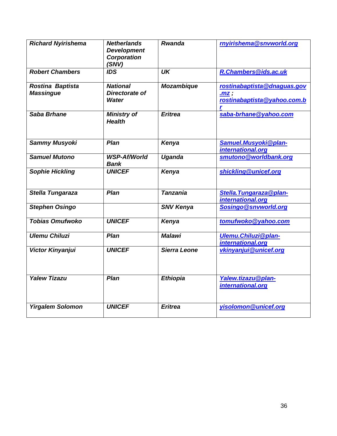| <b>Richard Nyirishema</b>            | <b>Netherlands</b><br><b>Development</b><br><b>Corporation</b><br>(SNV) | <b>Rwanda</b>     | rnyirishema@snvworld.org                                              |
|--------------------------------------|-------------------------------------------------------------------------|-------------------|-----------------------------------------------------------------------|
| <b>Robert Chambers</b>               | <b>IDS</b>                                                              | <b>UK</b>         | R.Chambers@ids.ac.uk                                                  |
| Rostina Baptista<br><b>Massingue</b> | <b>National</b><br>Directorate of<br><b>Water</b>                       | <b>Mozambique</b> | rostinabaptista@dnaguas.gov<br>$.mz$ ;<br>rostinabaptista@yahoo.com.b |
| Saba Brhane                          | <b>Ministry of</b><br><b>Health</b>                                     | <b>Eritrea</b>    | saba-brhane@yahoo.com                                                 |
| <b>Sammy Musyoki</b>                 | Plan                                                                    | Kenya             | Samuel.Musyoki@plan-<br>international.org                             |
| <b>Samuel Mutono</b>                 | <b>WSP-Af/World</b><br><b>Bank</b>                                      | Uganda            | smutono@worldbank.org                                                 |
| <b>Sophie Hickling</b>               | <b>UNICEF</b>                                                           | Kenya             | shickling@unicef.org                                                  |
| Stella Tungaraza                     | Plan                                                                    | <b>Tanzania</b>   | Stella. Tungaraza@plan-<br>international.org                          |
| <b>Stephen Osingo</b>                |                                                                         | <b>SNV Kenya</b>  | Sosingo@snvworld.org                                                  |
| <b>Tobias Omufwoko</b>               | <b>UNICEF</b>                                                           | Kenya             | tomufwoko@yahoo.com                                                   |
| <b>Ulemu Chiluzi</b>                 | Plan                                                                    | <b>Malawi</b>     | <b>Ulemu.Chiluzi@plan-</b><br>international.org                       |
| Victor Kinyanjui                     | <b>UNICEF</b>                                                           | Sierra Leone      | vkinyanjui@unicef.org                                                 |
| <b>Yalew Tizazu</b>                  | Plan                                                                    | <b>Ethiopia</b>   | Yalew.tizazu@plan-<br>international.org                               |
| <b>Yirgalem Solomon</b>              | <b>UNICEF</b>                                                           | <b>Eritrea</b>    | yisolomon@unicef.org                                                  |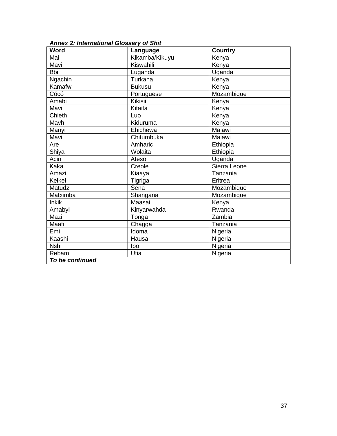| Word            | Language       | <b>Country</b> |  |
|-----------------|----------------|----------------|--|
| Mai             | Kikamba/Kikuyu | Kenya          |  |
| Mavi            | Kiswahili      | Kenya          |  |
| <b>Bbi</b>      | Luganda        | Uganda         |  |
| <b>Ngachin</b>  | Turkana        | Kenya          |  |
| Kamafwi         | <b>Bukusu</b>  | Kenya          |  |
| Cócó            | Portuguese     | Mozambique     |  |
| Amabi           | Kikisii        | Kenya          |  |
| Mavi            | Kitaita        | Kenya          |  |
| Chieth          | Luo            | Kenya          |  |
| Mavh            | Kiduruma       | Kenya          |  |
| Manyi           | Ehichewa       | Malawi         |  |
| Mavi            | Chitumbuka     | Malawi         |  |
| Are             | Amharic        | Ethiopia       |  |
| Shiya           | Wolaita        | Ethiopia       |  |
| Acin            | Ateso          | Uganda         |  |
| Kaka            | Creole         | Sierra Leone   |  |
| Amazi           | Kiaaya         | Tanzania       |  |
| Kelkel          | Tigriga        | Eritrea        |  |
| Matudzi         | Sena           | Mozambique     |  |
| Matximba        | Shangana       | Mozambique     |  |
| <b>Inkik</b>    | Maasai         | Kenya          |  |
| Amabyi          | Kinyarwahda    | Rwanda         |  |
| Mazi            | Tonga          | Zambia         |  |
| Maafi           | Chagga         | Tanzania       |  |
| Emi             | Idoma          | Nigeria        |  |
| Kaashi          | Hausa          | Nigeria        |  |
| Nshi            | Ibo            | Nigeria        |  |
| Rebam           | Ufia           | Nigeria        |  |
| To be continued |                |                |  |

*Annex 2: International Glossary of Shit*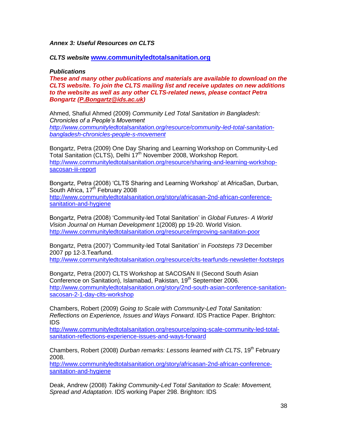## *Annex 3: Useful Resources on CLTS*

#### *CLTS website* **[www.communityledtotalsanitation.org](http://www.communityledtotalsanitation.org/)**

#### *Publications*

*These and many other publications and materials are available to download on the CLTS website. To join the CLTS mailing list and receive updates on new additions to the website as well as any other CLTS-related news, please contact Petra Bongartz [\(P.Bongartz@ids.ac.uk\)](mailto:P.Bongartz@ids.ac.uk)*

Ahmed, Shafiul Ahmed (2009) *Community Led Total Sanitation in Bangladesh: Chronicles of a People's Movement [http://www.communityledtotalsanitation.org/resource/community-led-total-sanitation](http://www.communityledtotalsanitation.org/resource/community-led-total-sanitation-bangladesh-chronicles-people-s-movement)[bangladesh-chronicles-people-s-movement](http://www.communityledtotalsanitation.org/resource/community-led-total-sanitation-bangladesh-chronicles-people-s-movement)* 

Bongartz, Petra (2009) One Day Sharing and Learning Workshop on Community-Led Total Sanitation (CLTS), Delhi 17<sup>th</sup> November 2008, Workshop Report. [http://www.communityledtotalsanitation.org/resource/sharing-and-learning-workshop](http://www.communityledtotalsanitation.org/resource/sharing-and-learning-workshop-sacosan-iii-report)[sacosan-iii-report](http://www.communityledtotalsanitation.org/resource/sharing-and-learning-workshop-sacosan-iii-report)

Bongartz, Petra (2008) "CLTS Sharing and Learning Workshop" at AfricaSan, Durban, South Africa,  $17<sup>th</sup>$  February 2008 [http://www.communityledtotalsanitation.org/story/africasan-2nd-african-conference](http://www.communityledtotalsanitation.org/story/africasan-2nd-african-conference-sanitation-and-hygiene)[sanitation-and-hygiene](http://www.communityledtotalsanitation.org/story/africasan-2nd-african-conference-sanitation-and-hygiene)

Bongartz, Petra (2008) "Community-led Total Sanitation" in *Global Futures- A World Vision Journal on Human Development* 1(2008) pp 19-20. World Vision. <http://www.communityledtotalsanitation.org/resource/improving-sanitation-poor>

Bongartz, Petra (2007) "Community-led Total Sanitation" in *Footsteps 73* December 2007 pp 12-3.Tearfund.

<http://www.communityledtotalsanitation.org/resource/clts-tearfunds-newsletter-footsteps>

Bongartz, Petra (2007) CLTS Workshop at SACOSAN II (Second South Asian Conference on Sanitation), Islamabad, Pakistan, 19<sup>th</sup> September 2006. [http://www.communityledtotalsanitation.org/story/2nd-south-asian-conference-sanitation](http://www.communityledtotalsanitation.org/story/2nd-south-asian-conference-sanitation-sacosan-2-1-day-clts-workshop)[sacosan-2-1-day-clts-workshop](http://www.communityledtotalsanitation.org/story/2nd-south-asian-conference-sanitation-sacosan-2-1-day-clts-workshop)

Chambers, Robert (2009) *Going to Scale with Community-Led Total Sanitation: Reflections on Experience, Issues and Ways Forward*. IDS Practice Paper. Brighton: IDS

[http://www.communityledtotalsanitation.org/resource/going-scale-community-led-total](http://www.communityledtotalsanitation.org/resource/going-scale-community-led-total-sanitation-reflections-experience-issues-and-ways-forward)[sanitation-reflections-experience-issues-and-ways-forward](http://www.communityledtotalsanitation.org/resource/going-scale-community-led-total-sanitation-reflections-experience-issues-and-ways-forward)

Chambers, Robert (2008) *Durban remarks: Lessons learned with CLTS*, 19<sup>th</sup> February 2008.

[http://www.communityledtotalsanitation.org/story/africasan-2nd-african-conference](http://www.communityledtotalsanitation.org/story/africasan-2nd-african-conference-sanitation-and-hygiene)[sanitation-and-hygiene](http://www.communityledtotalsanitation.org/story/africasan-2nd-african-conference-sanitation-and-hygiene)

Deak, Andrew (2008) *Taking Community-Led Total Sanitation to Scale: Movement, Spread and Adaptation*. IDS working Paper 298. Brighton: IDS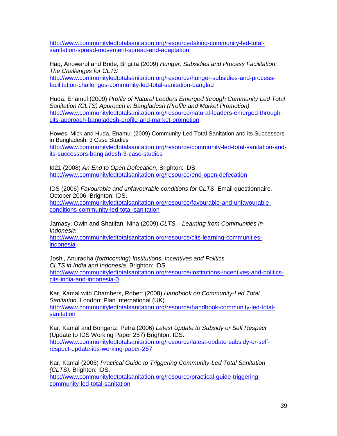[http://www.communityledtotalsanitation.org/resource/taking-community-led-total](http://www.communityledtotalsanitation.org/resource/taking-community-led-total-sanitation-spread-movement-spread-and-adaptation)[sanitation-spread-movement-spread-and-adaptation](http://www.communityledtotalsanitation.org/resource/taking-community-led-total-sanitation-spread-movement-spread-and-adaptation)

Haq, Anowarul and Bode, Brigitta (2009) *Hunger, Subsidies and Process Facilitation: The Challenges for CLTS*

[http://www.communityledtotalsanitation.org/resource/hunger-subsidies-and-process](http://www.communityledtotalsanitation.org/resource/hunger-subsidies-and-process-facilitation-challenges-community-led-total-sanitation-banglad)[facilitation-challenges-community-led-total-sanitation-banglad](http://www.communityledtotalsanitation.org/resource/hunger-subsidies-and-process-facilitation-challenges-community-led-total-sanitation-banglad)

Huda, Enamul (2009) *Profile of Natural Leaders Emerged through Community Led Total Sanitation (CLTS) Approach in Bangladesh (Profile and Market Promotion)* [http://www.communityledtotalsanitation.org/resource/natural-leaders-emerged-through](http://www.communityledtotalsanitation.org/resource/natural-leaders-emerged-through-clts-approach-bangladesh-profile-and-market-promotion)[clts-approach-bangladesh-profile-and-market-promotion](http://www.communityledtotalsanitation.org/resource/natural-leaders-emerged-through-clts-approach-bangladesh-profile-and-market-promotion)

Howes, Mick and Huda, Enamul (2009) Community-Led Total Sanitation and its Successors in Bangladesh: 3 Case Studies

[http://www.communityledtotalsanitation.org/resource/community-led-total-sanitation-and](http://www.communityledtotalsanitation.org/resource/community-led-total-sanitation-and-its-successors-bangladesh-3-case-studies)[its-successors-bangladesh-3-case-studies](http://www.communityledtotalsanitation.org/resource/community-led-total-sanitation-and-its-successors-bangladesh-3-case-studies)

Id21 (2008) *An End to Open Defecation*, Brighton: IDS. <http://www.communityledtotalsanitation.org/resource/end-open-defecation>

IDS (2006) *Favourable and unfavourable conditions for CLTS*. Email questionnaire*,*  October 2006. Brighton: IDS.

[http://www.communityledtotalsanitation.org/resource/favourable-and-unfavourable](http://www.communityledtotalsanitation.org/resource/favourable-and-unfavourable-conditions-community-led-total-sanitation)[conditions-community-led-total-sanitation](http://www.communityledtotalsanitation.org/resource/favourable-and-unfavourable-conditions-community-led-total-sanitation)

Jamasy, Owin and Shatifan, Nina (2009) *CLTS – Learning from Communities in Indonesia*

[http://www.communityledtotalsanitation.org/resource/clts-learning-communities](http://www.communityledtotalsanitation.org/resource/clts-learning-communities-indonesia)[indonesia](http://www.communityledtotalsanitation.org/resource/clts-learning-communities-indonesia)

Joshi, Anuradha (*forthcoming*) *Institutions, Incentives and Politics CLTS in India and Indonesia*. Brighton: IDS. [http://www.communityledtotalsanitation.org/resource/institutions-incentives-and-politics](http://www.communityledtotalsanitation.org/resource/institutions-incentives-and-politics-clts-india-and-indonesia-0)[clts-india-and-indonesia-0](http://www.communityledtotalsanitation.org/resource/institutions-incentives-and-politics-clts-india-and-indonesia-0)

Kar, Kamal with Chambers, Robert (2008) *Handbook on Community-Led Total Sanitation*. London: Plan International (UK). [http://www.communityledtotalsanitation.org/resource/handbook-community-led-total](http://www.communityledtotalsanitation.org/resource/handbook-community-led-total-sanitation)[sanitation](http://www.communityledtotalsanitation.org/resource/handbook-community-led-total-sanitation)

Kar, Kamal and Bongartz, Petra (2006) *Latest Update to Subsidy or Self Respect* (Update to IDS Working Paper 257) Brighton: IDS. [http://www.communityledtotalsanitation.org/resource/latest-update-subsidy-or-self](http://www.communityledtotalsanitation.org/resource/latest-update-subsidy-or-self-respect-update-ids-working-paper-257)[respect-update-ids-working-paper-257](http://www.communityledtotalsanitation.org/resource/latest-update-subsidy-or-self-respect-update-ids-working-paper-257)

Kar, Kamal (2005) *Practical Guide to Triggering Community-Led Total Sanitation (CLTS).* Brighton: IDS.

[http://www.communityledtotalsanitation.org/resource/practical-guide-triggering](http://www.communityledtotalsanitation.org/resource/practical-guide-triggering-community-led-total-sanitation)[community-led-total-sanitation](http://www.communityledtotalsanitation.org/resource/practical-guide-triggering-community-led-total-sanitation)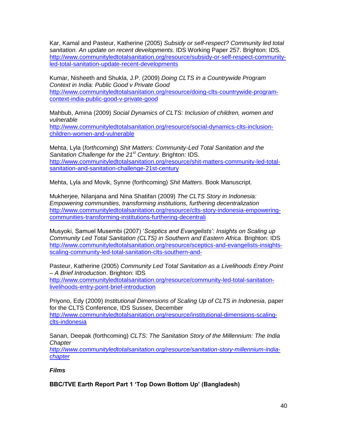Kar, Kamal and Pasteur, Katherine (2005) *Subsidy or self-respect? Community led total sanitation. An update on recent developments.* IDS Working Paper 257. Brighton: IDS. [http://www.communityledtotalsanitation.org/resource/subsidy-or-self-respect-community](http://www.communityledtotalsanitation.org/resource/subsidy-or-self-respect-community-led-total-sanitation-update-recent-developments)[led-total-sanitation-update-recent-developments](http://www.communityledtotalsanitation.org/resource/subsidy-or-self-respect-community-led-total-sanitation-update-recent-developments)

Kumar, Nisheeth and Shukla, J.P. (2009) *Doing CLTS in a Countrywide Program Context in India: Public Good v Private Good* [http://www.communityledtotalsanitation.org/resource/doing-clts-countrywide-program](http://www.communityledtotalsanitation.org/resource/doing-clts-countrywide-program-context-india-public-good-v-private-good)[context-india-public-good-v-private-good](http://www.communityledtotalsanitation.org/resource/doing-clts-countrywide-program-context-india-public-good-v-private-good)

Mahbub, Amina (2009) *Social Dynamics of CLTS: Inclusion of children, women and vulnerable* [http://www.communityledtotalsanitation.org/resource/social-dynamics-clts-inclusion](http://www.communityledtotalsanitation.org/resource/social-dynamics-clts-inclusion-children-women-and-vulnerable)[children-women-and-vulnerable](http://www.communityledtotalsanitation.org/resource/social-dynamics-clts-inclusion-children-women-and-vulnerable)

Mehta, Lyla (*forthcoming*) *Shit Matters: Community-Led Total Sanitation and the Sanitation Challenge for the 21st Century*. Brighton: IDS. [http://www.communityledtotalsanitation.org/resource/shit-matters-community-led-total](http://www.communityledtotalsanitation.org/resource/shit-matters-community-led-total-sanitation-and-sanitation-challenge-21st-century)[sanitation-and-sanitation-challenge-21st-century](http://www.communityledtotalsanitation.org/resource/shit-matters-community-led-total-sanitation-and-sanitation-challenge-21st-century)

Mehta, Lyla and Movik, Synne (forthcoming) *Shit Matters*. Book Manuscript.

Mukherjee, Nilanjana and Nina Shatifan (2009) *The CLTS Story in Indonesia: Empowering communities, transforming institutions, furthering decentralization* [http://www.communityledtotalsanitation.org/resource/clts-story-indonesia-empowering](http://www.communityledtotalsanitation.org/resource/clts-story-indonesia-empowering-communities-transforming-institutions-furthering-decentrali)[communities-transforming-institutions-furthering-decentrali](http://www.communityledtotalsanitation.org/resource/clts-story-indonesia-empowering-communities-transforming-institutions-furthering-decentrali)

Musyoki, Samuel Musembi (2007) "*Sceptics and Evangelists': Insights on Scaling up Community Led Total Sanitation (CLTS) in Southern and Eastern Africa*. Brighton: IDS [http://www.communityledtotalsanitation.org/resource/sceptics-and-evangelists-insights](http://www.communityledtotalsanitation.org/resource/sceptics-and-evangelists-insights-scaling-community-led-total-sanitation-clts-southern-and-)[scaling-community-led-total-sanitation-clts-southern-and-](http://www.communityledtotalsanitation.org/resource/sceptics-and-evangelists-insights-scaling-community-led-total-sanitation-clts-southern-and-)

Pasteur, Katherine (2005) *Community Led Total Sanitation as a Livelihoods Entry Point – A Brief Introduction*. Brighton: IDS [http://www.communityledtotalsanitation.org/resource/community-led-total-sanitation-](http://www.communityledtotalsanitation.org/resource/community-led-total-sanitation-livelihoods-entry-point-brief-introduction)

[livelihoods-entry-point-brief-introduction](http://www.communityledtotalsanitation.org/resource/community-led-total-sanitation-livelihoods-entry-point-brief-introduction)

Priyono, Edy (2009) *Institutional Dimensions of Scaling Up of CLTS in Indonesia*, paper for the CLTS Conference, IDS Sussex, December [http://www.communityledtotalsanitation.org/resource/institutional-dimensions-scaling](http://www.communityledtotalsanitation.org/resource/institutional-dimensions-scaling-clts-indonesia)[clts-indonesia](http://www.communityledtotalsanitation.org/resource/institutional-dimensions-scaling-clts-indonesia)

Sanan, Deepak (forthcoming) *CLTS: The Sanitation Story of the Millennium: The India Chapter*

*[http://www.communityledtotalsanitation.org/resource/sanitation-story-millennium-india](http://www.communityledtotalsanitation.org/resource/sanitation-story-millennium-india-chapter)[chapter](http://www.communityledtotalsanitation.org/resource/sanitation-story-millennium-india-chapter)*

*Films*

**BBC/TVE Earth Report Part 1 "Top Down Bottom Up" (Bangladesh)**